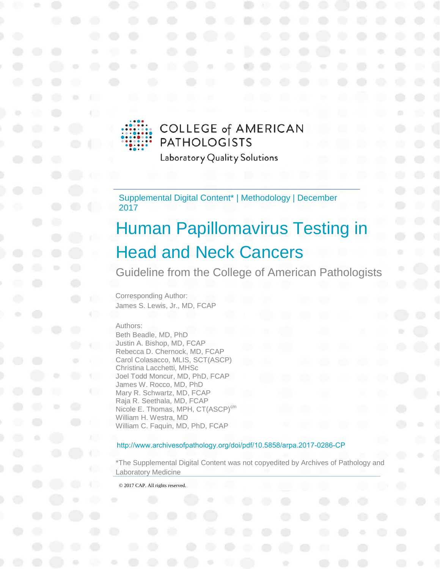

## **COLLEGE of AMERICAN PATHOLOGISTS**

Laboratory Quality Solutions

Supplemental Digital Content\* | Methodology | December 2017

# Human Papillomavirus Testing in Head and Neck Cancers

Guideline from the College of American Pathologists

Corresponding Author: James S. Lewis, Jr., MD, FCAP

#### Authors:

Beth Beadle, MD, PhD Justin A. Bishop, MD, FCAP Rebecca D. Chernock, MD, FCAP Carol Colasacco, MLIS, SCT(ASCP) Christina Lacchetti, MHSc Joel Todd Moncur, MD, PhD, FCAP James W. Rocco, MD, PhD Mary R. Schwartz, MD, FCAP Raja R. Seethala, MD, FCAP Nicole E. Thomas, MPH, CT(ASCP)<sup>cm</sup> William H. Westra, MD William C. Faquin, MD, PhD, FCAP

#### <http://www.archivesofpathology.org/doi/pdf/10.5858/arpa.2017-0286-CP>

\*The Supplemental Digital Content was not copyedited by Archives of Pathology and Laboratory Medicine

© 2017 CAP. All rights reserved.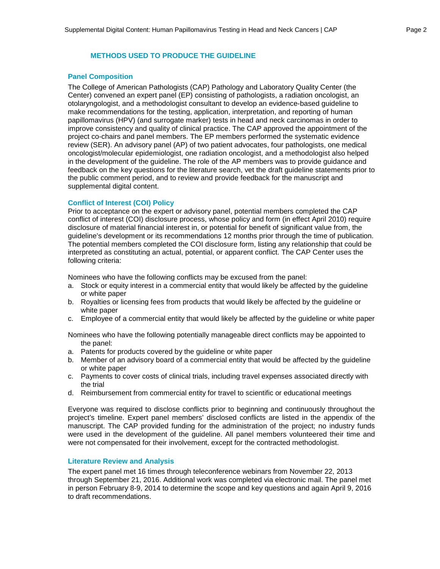## **METHODS USED TO PRODUCE THE GUIDELINE**

#### **Panel Composition**

The College of American Pathologists (CAP) Pathology and Laboratory Quality Center (the Center) convened an expert panel (EP) consisting of pathologists, a radiation oncologist, an otolaryngologist, and a methodologist consultant to develop an evidence-based guideline to make recommendations for the testing, application, interpretation, and reporting of human papillomavirus (HPV) (and surrogate marker) tests in head and neck carcinomas in order to improve consistency and quality of clinical practice. The CAP approved the appointment of the project co-chairs and panel members. The EP members performed the systematic evidence review (SER). An advisory panel (AP) of two patient advocates, four pathologists, one medical oncologist/molecular epidemiologist, one radiation oncologist, and a methodologist also helped in the development of the guideline. The role of the AP members was to provide guidance and feedback on the key questions for the literature search, vet the draft guideline statements prior to the public comment period, and to review and provide feedback for the manuscript and supplemental digital content.

#### **Conflict of Interest (COI) Policy**

Prior to acceptance on the expert or advisory panel, potential members completed the CAP conflict of interest (COI) disclosure process, whose policy and form (in effect April 2010) require disclosure of material financial interest in, or potential for benefit of significant value from, the guideline's development or its recommendations 12 months prior through the time of publication. The potential members completed the COI disclosure form, listing any relationship that could be interpreted as constituting an actual, potential, or apparent conflict. The CAP Center uses the following criteria:

Nominees who have the following conflicts may be excused from the panel:

- a. Stock or equity interest in a commercial entity that would likely be affected by the guideline or white paper
- b. Royalties or licensing fees from products that would likely be affected by the guideline or white paper
- c. Employee of a commercial entity that would likely be affected by the guideline or white paper

Nominees who have the following potentially manageable direct conflicts may be appointed to the panel:

- a. Patents for products covered by the guideline or white paper
- b. Member of an advisory board of a commercial entity that would be affected by the guideline or white paper
- c. Payments to cover costs of clinical trials, including travel expenses associated directly with the trial
- d. Reimbursement from commercial entity for travel to scientific or educational meetings

Everyone was required to disclose conflicts prior to beginning and continuously throughout the project's timeline. Expert panel members' disclosed conflicts are listed in the appendix of the manuscript. The CAP provided funding for the administration of the project; no industry funds were used in the development of the guideline. All panel members volunteered their time and were not compensated for their involvement, except for the contracted methodologist.

#### **Literature Review and Analysis**

The expert panel met 16 times through teleconference webinars from November 22, 2013 through September 21, 2016. Additional work was completed via electronic mail. The panel met in person February 8-9, 2014 to determine the scope and key questions and again April 9, 2016 to draft recommendations.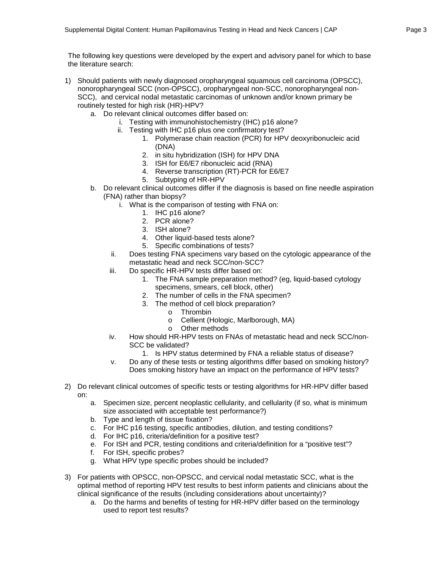The following key questions were developed by the expert and advisory panel for which to base the literature search:

- 1) Should patients with newly diagnosed oropharyngeal squamous cell carcinoma (OPSCC), nonoropharyngeal SCC (non-OPSCC), oropharyngeal non-SCC, nonoropharyngeal non-SCC), and cervical nodal metastatic carcinomas of unknown and/or known primary be routinely tested for high risk (HR)-HPV?
	- a. Do relevant clinical outcomes differ based on:
		- i. Testing with immunohistochemistry (IHC) p16 alone?
		- ii. Testing with IHC p16 plus one confirmatory test?
			- 1. Polymerase chain reaction (PCR) for HPV deoxyribonucleic acid (DNA)
			- 2. in situ hybridization (ISH) for HPV DNA
			- 3. ISH for E6/E7 ribonucleic acid (RNA)
			- 4. Reverse transcription (RT)-PCR for E6/E7
			- 5. Subtyping of HR-HPV
	- b. Do relevant clinical outcomes differ if the diagnosis is based on fine needle aspiration (FNA) rather than biopsy?
		- i. What is the comparison of testing with FNA on:
			- 1. IHC p16 alone?
			- 2. PCR alone?
			- 3. ISH alone?
			- 4. Other liquid-based tests alone?
			- 5. Specific combinations of tests?
		- ii. Does testing FNA specimens vary based on the cytologic appearance of the metastatic head and neck SCC/non-SCC?
		- iii. Do specific HR-HPV tests differ based on:
			- 1. The FNA sample preparation method? (eg, liquid-based cytology specimens, smears, cell block, other)
			- 2. The number of cells in the FNA specimen?
			- 3. The method of cell block preparation?
				- o Thrombin
				- o Cellient (Hologic, Marlborough, MA)
				- o Other methods
		- iv. How should HR-HPV tests on FNAs of metastatic head and neck SCC/non-SCC be validated?
			- 1. Is HPV status determined by FNA a reliable status of disease?
		- v. Do any of these tests or testing algorithms differ based on smoking history? Does smoking history have an impact on the performance of HPV tests?
- 2) Do relevant clinical outcomes of specific tests or testing algorithms for HR-HPV differ based on:
	- a. Specimen size, percent neoplastic cellularity, and cellularity (if so, what is minimum size associated with acceptable test performance?)
	- b. Type and length of tissue fixation?
	- c. For IHC p16 testing, specific antibodies, dilution, and testing conditions?
	- d. For IHC p16, criteria/definition for a positive test?
	- e. For ISH and PCR, testing conditions and criteria/definition for a "positive test"?
	- f. For ISH, specific probes?
	- g. What HPV type specific probes should be included?
- 3) For patients with OPSCC, non-OPSCC, and cervical nodal metastatic SCC, what is the optimal method of reporting HPV test results to best inform patients and clinicians about the clinical significance of the results (including considerations about uncertainty)?
	- a. Do the harms and benefits of testing for HR-HPV differ based on the terminology used to report test results?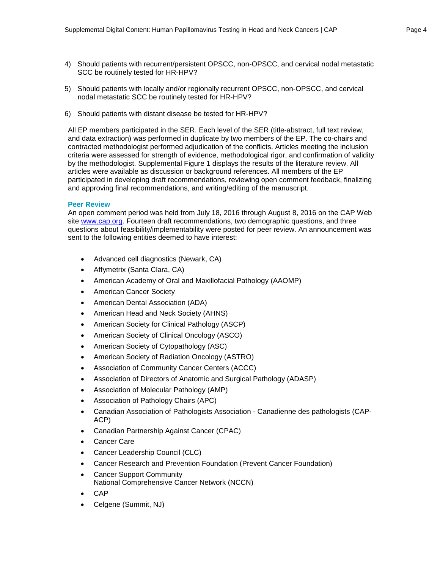- 4) Should patients with recurrent/persistent OPSCC, non-OPSCC, and cervical nodal metastatic SCC be routinely tested for HR-HPV?
- 5) Should patients with locally and/or regionally recurrent OPSCC, non-OPSCC, and cervical nodal metastatic SCC be routinely tested for HR-HPV?
- 6) Should patients with distant disease be tested for HR-HPV?

All EP members participated in the SER. Each level of the SER (title-abstract, full text review, and data extraction) was performed in duplicate by two members of the EP. The co-chairs and contracted methodologist performed adjudication of the conflicts. Articles meeting the inclusion criteria were assessed for strength of evidence, methodological rigor, and confirmation of validity by the methodologist. Supplemental Figure 1 displays the results of the literature review. All articles were available as discussion or background references. All members of the EP participated in developing draft recommendations, reviewing open comment feedback, finalizing and approving final recommendations, and writing/editing of the manuscript.

#### **Peer Review**

An open comment period was held from July 18, 2016 through August 8, 2016 on the CAP Web site [www.cap.org.](http://www.cap.org/) Fourteen draft recommendations, two demographic questions, and three questions about feasibility/implementability were posted for peer review. An announcement was sent to the following entities deemed to have interest:

- Advanced cell diagnostics (Newark, CA)
- Affymetrix (Santa Clara, CA)
- American Academy of Oral and Maxillofacial Pathology (AAOMP)
- American Cancer Society
- American Dental Association (ADA)
- American Head and Neck Society (AHNS)
- American Society for Clinical Pathology (ASCP)
- American Society of Clinical Oncology (ASCO)
- American Society of Cytopathology (ASC)
- American Society of Radiation Oncology (ASTRO)
- Association of Community Cancer Centers (ACCC)
- Association of Directors of Anatomic and Surgical Pathology (ADASP)
- Association of Molecular Pathology (AMP)
- Association of Pathology Chairs (APC)
- Canadian Association of Pathologists Association Canadienne des pathologists (CAP-ACP)
- Canadian Partnership Against Cancer (CPAC)
- Cancer Care
- Cancer Leadership Council (CLC)
- Cancer Research and Prevention Foundation (Prevent Cancer Foundation)
- **Cancer Support Community** National Comprehensive Cancer Network (NCCN)
- CAP
- Celgene (Summit, NJ)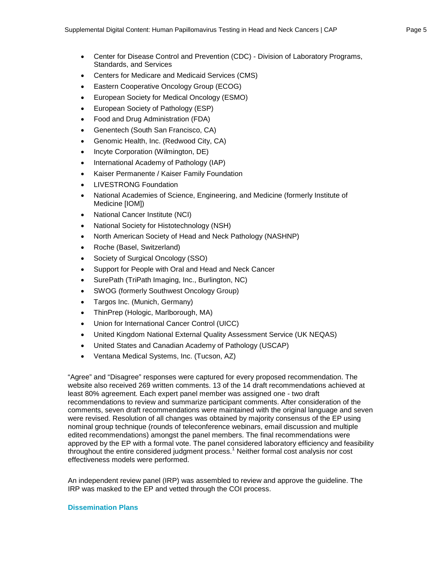- Center for Disease Control and Prevention (CDC) Division of Laboratory Programs, Standards, and Services
- Centers for Medicare and Medicaid Services (CMS)
- Eastern Cooperative Oncology Group (ECOG)
- European Society for Medical Oncology (ESMO)
- European Society of Pathology (ESP)
- Food and Drug Administration (FDA)
- Genentech (South San Francisco, CA)
- Genomic Health, Inc. (Redwood City, CA)
- Incyte Corporation (Wilmington, DE)
- International Academy of Pathology (IAP)
- Kaiser Permanente / Kaiser Family Foundation
- LIVESTRONG Foundation
- National Academies of Science, Engineering, and Medicine (formerly Institute of Medicine [IOM])
- National Cancer Institute (NCI)
- National Society for Histotechnology (NSH)
- North American Society of Head and Neck Pathology (NASHNP)
- Roche (Basel, Switzerland)
- Society of Surgical Oncology (SSO)
- Support for People with Oral and Head and Neck Cancer
- SurePath (TriPath Imaging, Inc., Burlington, NC)
- SWOG (formerly Southwest Oncology Group)
- Targos Inc. (Munich, Germany)
- ThinPrep (Hologic, Marlborough, MA)
- Union for International Cancer Control (UICC)
- United Kingdom National External Quality Assessment Service (UK NEQAS)
- United States and Canadian Academy of Pathology (USCAP)
- Ventana Medical Systems, Inc. (Tucson, AZ)

"Agree" and "Disagree" responses were captured for every proposed recommendation. The website also received 269 written comments. 13 of the 14 draft recommendations achieved at least 80% agreement. Each expert panel member was assigned one - two draft recommendations to review and summarize participant comments. After consideration of the comments, seven draft recommendations were maintained with the original language and seven were revised. Resolution of all changes was obtained by majority consensus of the EP using nominal group technique (rounds of teleconference webinars, email discussion and multiple edited recommendations) amongst the panel members. The final recommendations were approved by the EP with a formal vote. The panel considered laboratory efficiency and feasibility throughout the entire considered judgment process.<sup>1</sup> Neither formal cost analysis nor cost effectiveness models were performed.

An independent review panel (IRP) was assembled to review and approve the guideline. The IRP was masked to the EP and vetted through the COI process.

#### **Dissemination Plans**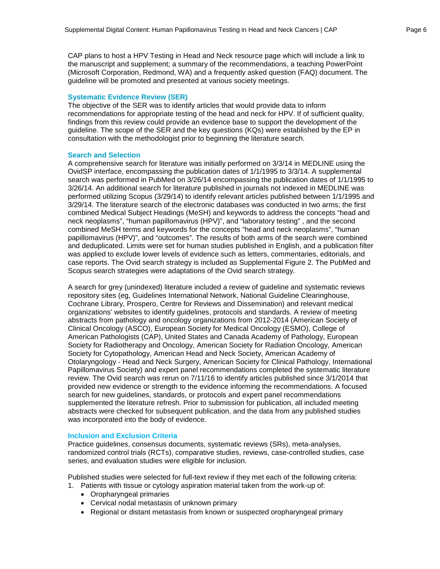CAP plans to host a HPV Testing in Head and Neck resource page which will include a link to the manuscript and supplement; a summary of the recommendations, a teaching PowerPoint (Microsoft Corporation, Redmond, WA) and a frequently asked question (FAQ) document. The guideline will be promoted and presented at various society meetings.

#### **Systematic Evidence Review (SER)**

The objective of the SER was to identify articles that would provide data to inform recommendations for appropriate testing of the head and neck for HPV. If of sufficient quality, findings from this review could provide an evidence base to support the development of the guideline. The scope of the SER and the key questions (KQs) were established by the EP in consultation with the methodologist prior to beginning the literature search.

#### **Search and Selection**

A comprehensive search for literature was initially performed on 3/3/14 in MEDLINE using the OvidSP interface, encompassing the publication dates of 1/1/1995 to 3/3/14. A supplemental search was performed in PubMed on 3/26/14 encompassing the publication dates of 1/1/1995 to 3/26/14. An additional search for literature published in journals not indexed in MEDLINE was performed utilizing Scopus (3/29/14) to identify relevant articles published between 1/1/1995 and 3/29/14. The literature search of the electronic databases was conducted in two arms; the first combined Medical Subject Headings (MeSH) and keywords to address the concepts "head and neck neoplasms", "human papillomavirus (HPV)", and "laboratory testing" , and the second combined MeSH terms and keywords for the concepts "head and neck neoplasms", "human papillomavirus (HPV)", and "outcomes". The results of both arms of the search were combined and deduplicated. Limits were set for human studies published in English, and a publication filter was applied to exclude lower levels of evidence such as letters, commentaries, editorials, and case reports. The Ovid search strategy is included as Supplemental Figure 2. The PubMed and Scopus search strategies were adaptations of the Ovid search strategy.

A search for grey (unindexed) literature included a review of guideline and systematic reviews repository sites (eg, Guidelines International Network, National Guideline Clearinghouse, Cochrane Library, Prospero, Centre for Reviews and Dissemination) and relevant medical organizations' websites to identify guidelines, protocols and standards. A review of meeting abstracts from pathology and oncology organizations from 2012-2014 (American Society of Clinical Oncology (ASCO), European Society for Medical Oncology (ESMO), College of American Pathologists (CAP), United States and Canada Academy of Pathology, European Society for Radiotherapy and Oncology, American Society for Radiation Oncology, American Society for Cytopathology, American Head and Neck Society, American Academy of Otolaryngology - Head and Neck Surgery, American Society for Clinical Pathology, International Papillomavirus Society) and expert panel recommendations completed the systematic literature review. The Ovid search was rerun on 7/11/16 to identify articles published since 3/1/2014 that provided new evidence or strength to the evidence informing the recommendations. A focused search for new guidelines, standards, or protocols and expert panel recommendations supplemented the literature refresh. Prior to submission for publication, all included meeting abstracts were checked for subsequent publication, and the data from any published studies was incorporated into the body of evidence.

#### **Inclusion and Exclusion Criteria**

Practice guidelines, consensus documents, systematic reviews (SRs), meta-analyses, randomized control trials (RCTs), comparative studies, reviews, case-controlled studies, case series, and evaluation studies were eligible for inclusion.

Published studies were selected for full-text review if they met each of the following criteria:

- 1. Patients with tissue or cytology aspiration material taken from the work-up of:
	- Oropharyngeal primaries
	- Cervical nodal metastasis of unknown primary
	- Regional or distant metastasis from known or suspected oropharyngeal primary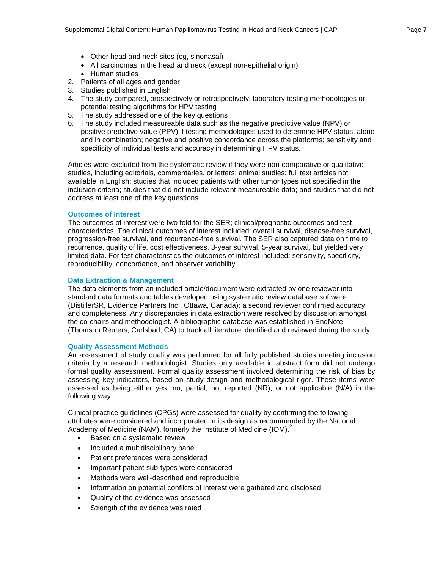- Other head and neck sites (eq. sinonasal)
- All carcinomas in the head and neck (except non-epithelial origin)
- Human studies
- 2. Patients of all ages and gender
- 3. Studies published in English
- 4. The study compared, prospectively or retrospectively, laboratory testing methodologies or potential testing algorithms for HPV testing
- 5. The study addressed one of the key questions
- 6. The study included measureable data such as the negative predictive value (NPV) or positive predictive value (PPV) if testing methodologies used to determine HPV status, alone and in combination; negative and positive concordance across the platforms; sensitivity and specificity of individual tests and accuracy in determining HPV status.

Articles were excluded from the systematic review if they were non-comparative or qualitative studies, including editorials, commentaries, or letters; animal studies; full text articles not available in English; studies that included patients with other tumor types not specified in the inclusion criteria; studies that did not include relevant measureable data; and studies that did not address at least one of the key questions.

#### **Outcomes of Interest**

The outcomes of interest were two fold for the SER; clinical/prognostic outcomes and test characteristics. The clinical outcomes of interest included: overall survival, disease-free survival, progression-free survival, and recurrence-free survival. The SER also captured data on time to recurrence, quality of life, cost effectiveness, 3-year survival, 5-year survival, but yielded very limited data. For test characteristics the outcomes of interest included: sensitivity, specificity, reproducibility, concordance, and observer variability.

## **Data Extraction & Management**

The data elements from an included article/document were extracted by one reviewer into standard data formats and tables developed using systematic review database software (DistillerSR, Evidence Partners Inc., Ottawa, Canada); a second reviewer confirmed accuracy and completeness. Any discrepancies in data extraction were resolved by discussion amongst the co-chairs and methodologist. A bibliographic database was established in EndNote (Thomson Reuters, Carlsbad, CA) to track all literature identified and reviewed during the study.

#### **Quality Assessment Methods**

An assessment of study quality was performed for all fully published studies meeting inclusion criteria by a research methodologist. Studies only available in abstract form did not undergo formal quality assessment. Formal quality assessment involved determining the risk of bias by assessing key indicators, based on study design and methodological rigor. These items were assessed as being either yes, no, partial, not reported (NR), or not applicable (N/A) in the following way:

Clinical practice guidelines (CPGs) were assessed for quality by confirming the following attributes were considered and incorporated in its design as recommended by the National Academy of Medicine (NAM), formerly the Institute of Medicine (IOM).<sup>2</sup>

- Based on a systematic review
- Included a multidisciplinary panel
- Patient preferences were considered
- Important patient sub-types were considered
- Methods were well-described and reproducible
- Information on potential conflicts of interest were gathered and disclosed
- Quality of the evidence was assessed
- Strength of the evidence was rated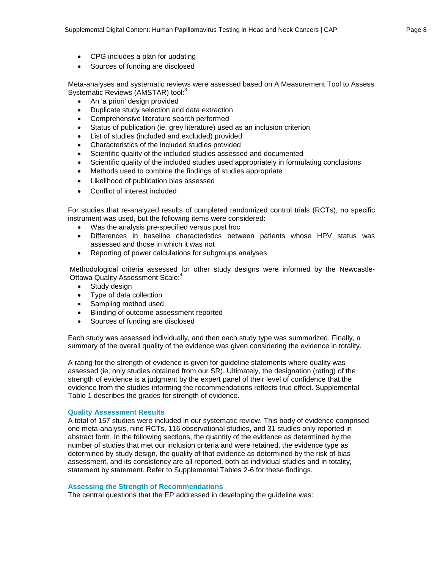- CPG includes a plan for updating
- Sources of funding are disclosed

Meta-analyses and systematic reviews were assessed based on A Measurement Tool to Assess Systematic Reviews (AMSTAR) tool:<sup>3</sup>

- An 'a priori' design provided
- Duplicate study selection and data extraction
- Comprehensive literature search performed
- Status of publication (ie, grey literature) used as an inclusion criterion
- List of studies (included and excluded) provided
- Characteristics of the included studies provided
- Scientific quality of the included studies assessed and documented
- Scientific quality of the included studies used appropriately in formulating conclusions
- Methods used to combine the findings of studies appropriate
- Likelihood of publication bias assessed
- Conflict of interest included

For studies that re-analyzed results of completed randomized control trials (RCTs), no specific instrument was used, but the following items were considered:

- Was the analysis pre-specified versus post hoc
- Differences in baseline characteristics between patients whose HPV status was assessed and those in which it was not
- Reporting of power calculations for subgroups analyses

Methodological criteria assessed for other study designs were informed by the Newcastle-Ottawa Quality Assessment Scale:<sup>4</sup>

- Study design
- Type of data collection
- Sampling method used
- Blinding of outcome assessment reported
- Sources of funding are disclosed

Each study was assessed individually, and then each study type was summarized. Finally, a summary of the overall quality of the evidence was given considering the evidence in totality.

A rating for the strength of evidence is given for guideline statements where quality was assessed (ie, only studies obtained from our SR). Ultimately, the designation (rating) of the strength of evidence is a judgment by the expert panel of their level of confidence that the evidence from the studies informing the recommendations reflects true effect. Supplemental Table 1 describes the grades for strength of evidence.

#### **Quality Assessment Results**

A total of 157 studies were included in our systematic review. This body of evidence comprised one meta-analysis, nine RCTs, 116 observational studies, and 31 studies only reported in abstract form. In the following sections, the quantity of the evidence as determined by the number of studies that met our inclusion criteria and were retained, the evidence type as determined by study design, the quality of that evidence as determined by the risk of bias assessment, and its consistency are all reported, both as individual studies and in totality, statement by statement. Refer to Supplemental Tables 2-6 for these findings.

#### **Assessing the Strength of Recommendations**

The central questions that the EP addressed in developing the guideline was: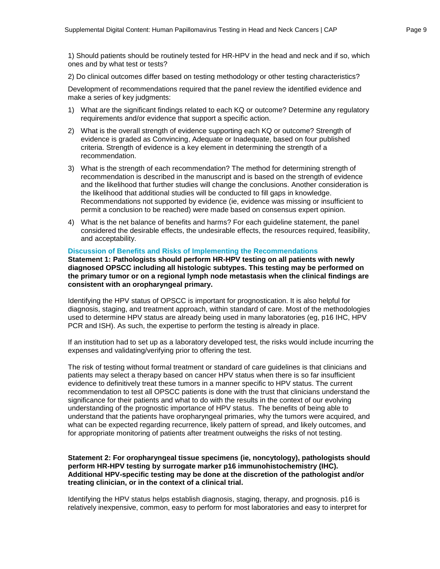1) Should patients should be routinely tested for HR-HPV in the head and neck and if so, which ones and by what test or tests?

2) Do clinical outcomes differ based on testing methodology or other testing characteristics?

Development of recommendations required that the panel review the identified evidence and make a series of key judgments:

- 1) What are the significant findings related to each KQ or outcome? Determine any regulatory requirements and/or evidence that support a specific action.
- 2) What is the overall strength of evidence supporting each KQ or outcome? Strength of evidence is graded as Convincing, Adequate or Inadequate, based on four published criteria. Strength of evidence is a key element in determining the strength of a recommendation.
- 3) What is the strength of each recommendation? The method for determining strength of recommendation is described in the manuscript and is based on the strength of evidence and the likelihood that further studies will change the conclusions. Another consideration is the likelihood that additional studies will be conducted to fill gaps in knowledge. Recommendations not supported by evidence (ie, evidence was missing or insufficient to permit a conclusion to be reached) were made based on consensus expert opinion.
- 4) What is the net balance of benefits and harms? For each guideline statement, the panel considered the desirable effects, the undesirable effects, the resources required, feasibility, and acceptability.

#### **Discussion of Benefits and Risks of Implementing the Recommendations**

**Statement 1: Pathologists should perform HR-HPV testing on all patients with newly diagnosed OPSCC including all histologic subtypes. This testing may be performed on the primary tumor or on a regional lymph node metastasis when the clinical findings are consistent with an oropharyngeal primary.**

Identifying the HPV status of OPSCC is important for prognostication. It is also helpful for diagnosis, staging, and treatment approach, within standard of care. Most of the methodologies used to determine HPV status are already being used in many laboratories (eg, p16 IHC, HPV PCR and ISH). As such, the expertise to perform the testing is already in place.

If an institution had to set up as a laboratory developed test, the risks would include incurring the expenses and validating/verifying prior to offering the test.

The risk of testing without formal treatment or standard of care guidelines is that clinicians and patients may select a therapy based on cancer HPV status when there is so far insufficient evidence to definitively treat these tumors in a manner specific to HPV status. The current recommendation to test all OPSCC patients is done with the trust that clinicians understand the significance for their patients and what to do with the results in the context of our evolving understanding of the prognostic importance of HPV status. The benefits of being able to understand that the patients have oropharyngeal primaries, why the tumors were acquired, and what can be expected regarding recurrence, likely pattern of spread, and likely outcomes, and for appropriate monitoring of patients after treatment outweighs the risks of not testing.

#### **Statement 2: For oropharyngeal tissue specimens (ie, noncytology), pathologists should perform HR-HPV testing by surrogate marker p16 immunohistochemistry (IHC). Additional HPV-specific testing may be done at the discretion of the pathologist and/or treating clinician, or in the context of a clinical trial.**

Identifying the HPV status helps establish diagnosis, staging, therapy, and prognosis. p16 is relatively inexpensive, common, easy to perform for most laboratories and easy to interpret for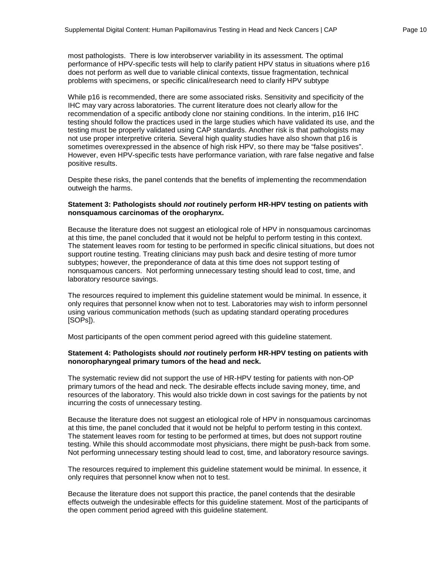most pathologists. There is low interobserver variability in its assessment. The optimal performance of HPV-specific tests will help to clarify patient HPV status in situations where p16 does not perform as well due to variable clinical contexts, tissue fragmentation, technical problems with specimens, or specific clinical/research need to clarify HPV subtype

While p16 is recommended, there are some associated risks. Sensitivity and specificity of the IHC may vary across laboratories. The current literature does not clearly allow for the recommendation of a specific antibody clone nor staining conditions. In the interim, p16 IHC testing should follow the practices used in the large studies which have validated its use, and the testing must be properly validated using CAP standards. Another risk is that pathologists may not use proper interpretive criteria. Several high quality studies have also shown that p16 is sometimes overexpressed in the absence of high risk HPV, so there may be "false positives". However, even HPV-specific tests have performance variation, with rare false negative and false positive results.

Despite these risks, the panel contends that the benefits of implementing the recommendation outweigh the harms.

#### **Statement 3: Pathologists should** *not* **routinely perform HR-HPV testing on patients with nonsquamous carcinomas of the oropharynx.**

Because the literature does not suggest an etiological role of HPV in nonsquamous carcinomas at this time, the panel concluded that it would not be helpful to perform testing in this context. The statement leaves room for testing to be performed in specific clinical situations, but does not support routine testing. Treating clinicians may push back and desire testing of more tumor subtypes; however, the preponderance of data at this time does not support testing of nonsquamous cancers. Not performing unnecessary testing should lead to cost, time, and laboratory resource savings.

The resources required to implement this guideline statement would be minimal. In essence, it only requires that personnel know when not to test. Laboratories may wish to inform personnel using various communication methods (such as updating standard operating procedures [SOPs]).

Most participants of the open comment period agreed with this guideline statement.

#### **Statement 4: Pathologists should** *not* **routinely perform HR-HPV testing on patients with nonoropharyngeal primary tumors of the head and neck.**

The systematic review did not support the use of HR-HPV testing for patients with non-OP primary tumors of the head and neck. The desirable effects include saving money, time, and resources of the laboratory. This would also trickle down in cost savings for the patients by not incurring the costs of unnecessary testing.

Because the literature does not suggest an etiological role of HPV in nonsquamous carcinomas at this time, the panel concluded that it would not be helpful to perform testing in this context. The statement leaves room for testing to be performed at times, but does not support routine testing. While this should accommodate most physicians, there might be push-back from some. Not performing unnecessary testing should lead to cost, time, and laboratory resource savings.

The resources required to implement this guideline statement would be minimal. In essence, it only requires that personnel know when not to test.

Because the literature does not support this practice, the panel contends that the desirable effects outweigh the undesirable effects for this guideline statement. Most of the participants of the open comment period agreed with this guideline statement.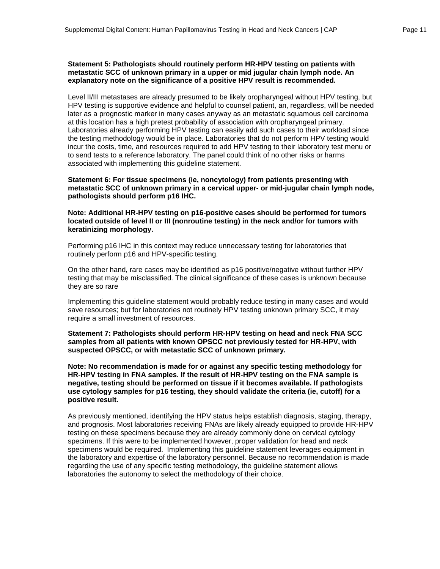#### **Statement 5: Pathologists should routinely perform HR-HPV testing on patients with metastatic SCC of unknown primary in a upper or mid jugular chain lymph node. An explanatory note on the significance of a positive HPV result is recommended.**

Level II/III metastases are already presumed to be likely oropharyngeal without HPV testing, but HPV testing is supportive evidence and helpful to counsel patient, an, regardless, will be needed later as a prognostic marker in many cases anyway as an metastatic squamous cell carcinoma at this location has a high pretest probability of association with oropharyngeal primary. Laboratories already performing HPV testing can easily add such cases to their workload since the testing methodology would be in place. Laboratories that do not perform HPV testing would incur the costs, time, and resources required to add HPV testing to their laboratory test menu or to send tests to a reference laboratory. The panel could think of no other risks or harms associated with implementing this guideline statement.

**Statement 6: For tissue specimens (ie, noncytology) from patients presenting with metastatic SCC of unknown primary in a cervical upper- or mid-jugular chain lymph node, pathologists should perform p16 IHC.** 

#### **Note: Additional HR-HPV testing on p16-positive cases should be performed for tumors located outside of level II or III (nonroutine testing) in the neck and/or for tumors with keratinizing morphology.**

Performing p16 IHC in this context may reduce unnecessary testing for laboratories that routinely perform p16 and HPV-specific testing.

On the other hand, rare cases may be identified as p16 positive/negative without further HPV testing that may be misclassified. The clinical significance of these cases is unknown because they are so rare

Implementing this guideline statement would probably reduce testing in many cases and would save resources; but for laboratories not routinely HPV testing unknown primary SCC, it may require a small investment of resources.

#### **Statement 7: Pathologists should perform HR-HPV testing on head and neck FNA SCC samples from all patients with known OPSCC not previously tested for HR-HPV, with suspected OPSCC, or with metastatic SCC of unknown primary.**

**Note: No recommendation is made for or against any specific testing methodology for HR-HPV testing in FNA samples. If the result of HR-HPV testing on the FNA sample is negative, testing should be performed on tissue if it becomes available. If pathologists use cytology samples for p16 testing, they should validate the criteria (ie, cutoff) for a positive result.**

As previously mentioned, identifying the HPV status helps establish diagnosis, staging, therapy, and prognosis. Most laboratories receiving FNAs are likely already equipped to provide HR-HPV testing on these specimens because they are already commonly done on cervical cytology specimens. If this were to be implemented however, proper validation for head and neck specimens would be required. Implementing this guideline statement leverages equipment in the laboratory and expertise of the laboratory personnel. Because no recommendation is made regarding the use of any specific testing methodology, the guideline statement allows laboratories the autonomy to select the methodology of their choice.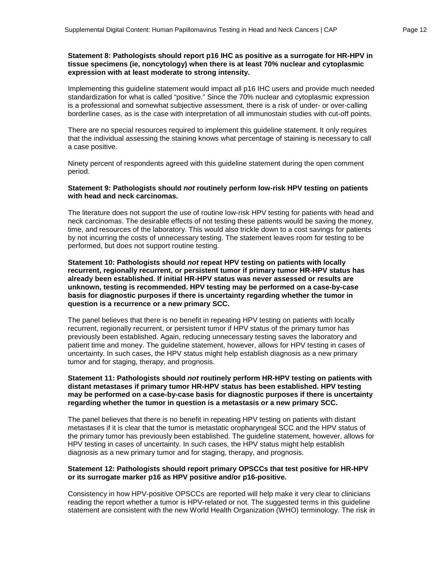Implementing this guideline statement would impact all p16 IHC users and provide much needed standardization for what is called "positive." Since the 70% nuclear and cytoplasmic expression is a professional and somewhat subjective assessment, there is a risk of under- or over-calling borderline cases, as is the case with interpretation of all immunostain studies with cut-off points.

There are no special resources required to implement this guideline statement. It only requires that the individual assessing the staining knows what percentage of staining is necessary to call a case positive.

Ninety percent of respondents agreed with this guideline statement during the open comment period.

#### **Statement 9: Pathologists should** *not* **routinely perform low-risk HPV testing on patients with head and neck carcinomas.**

The literature does not support the use of routine low-risk HPV testing for patients with head and neck carcinomas. The desirable effects of not testing these patients would be saving the money, time, and resources of the laboratory. This would also trickle down to a cost savings for patients by not incurring the costs of unnecessary testing. The statement leaves room for testing to be performed, but does not support routine testing.

**Statement 10: Pathologists should** *not* **repeat HPV testing on patients with locally recurrent, regionally recurrent, or persistent tumor if primary tumor HR-HPV status has already been established. If initial HR-HPV status was never assessed or results are unknown, testing is recommended. HPV testing may be performed on a case-by-case basis for diagnostic purposes if there is uncertainty regarding whether the tumor in question is a recurrence or a new primary SCC.**

The panel believes that there is no benefit in repeating HPV testing on patients with locally recurrent, regionally recurrent, or persistent tumor if HPV status of the primary tumor has previously been established. Again, reducing unnecessary testing saves the laboratory and patient time and money. The guideline statement, however, allows for HPV testing in cases of uncertainty. In such cases, the HPV status might help establish diagnosis as a new primary tumor and for staging, therapy, and prognosis.

#### **Statement 11: Pathologists should** *not* **routinely perform HR-HPV testing on patients with distant metastases if primary tumor HR-HPV status has been established. HPV testing may be performed on a case-by-case basis for diagnostic purposes if there is uncertainty regarding whether the tumor in question is a metastasis or a new primary SCC.**

The panel believes that there is no benefit in repeating HPV testing on patients with distant metastases if it is clear that the tumor is metastatic oropharyngeal SCC and the HPV status of the primary tumor has previously been established. The guideline statement, however, allows for HPV testing in cases of uncertainty. In such cases, the HPV status might help establish diagnosis as a new primary tumor and for staging, therapy, and prognosis.

#### **Statement 12: Pathologists should report primary OPSCCs that test positive for HR-HPV or its surrogate marker p16 as HPV positive and/or p16-positive.**

Consistency in how HPV-positive OPSCCs are reported will help make it very clear to clinicians reading the report whether a tumor is HPV-related or not. The suggested terms in this guideline statement are consistent with the new World Health Organization (WHO) terminology. The risk in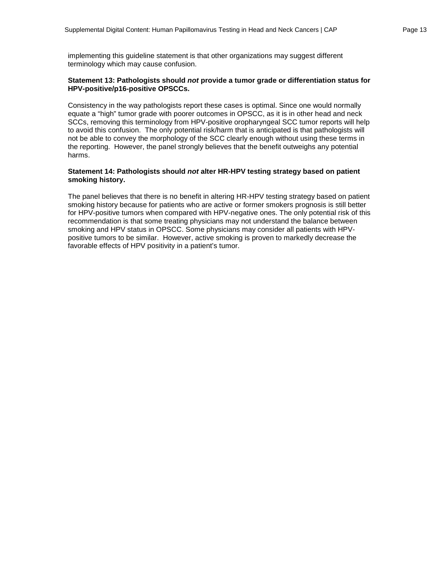implementing this guideline statement is that other organizations may suggest different terminology which may cause confusion.

#### **Statement 13: Pathologists should** *not* **provide a tumor grade or differentiation status for HPV-positive/p16-positive OPSCCs.**

Consistency in the way pathologists report these cases is optimal. Since one would normally equate a "high" tumor grade with poorer outcomes in OPSCC, as it is in other head and neck SCCs, removing this terminology from HPV-positive oropharyngeal SCC tumor reports will help to avoid this confusion. The only potential risk/harm that is anticipated is that pathologists will not be able to convey the morphology of the SCC clearly enough without using these terms in the reporting. However, the panel strongly believes that the benefit outweighs any potential harms.

#### **Statement 14: Pathologists should** *not* **alter HR-HPV testing strategy based on patient smoking history.**

The panel believes that there is no benefit in altering HR-HPV testing strategy based on patient smoking history because for patients who are active or former smokers prognosis is still better for HPV-positive tumors when compared with HPV-negative ones. The only potential risk of this recommendation is that some treating physicians may not understand the balance between smoking and HPV status in OPSCC. Some physicians may consider all patients with HPVpositive tumors to be similar. However, active smoking is proven to markedly decrease the favorable effects of HPV positivity in a patient's tumor.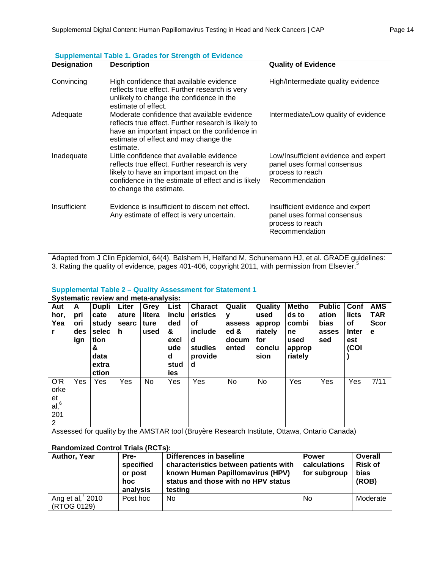| <b>Designation</b> | <b>Description</b>                                                                                                                                                                                                        | <b>Quality of Evidence</b>                                                                                |
|--------------------|---------------------------------------------------------------------------------------------------------------------------------------------------------------------------------------------------------------------------|-----------------------------------------------------------------------------------------------------------|
| Convincing         | High confidence that available evidence<br>reflects true effect. Further research is very<br>unlikely to change the confidence in the<br>estimate of effect.                                                              | High/Intermediate quality evidence                                                                        |
| Adequate           | Moderate confidence that available evidence<br>reflects true effect. Further research is likely to<br>have an important impact on the confidence in<br>estimate of effect and may change the<br>estimate.                 | Intermediate/Low quality of evidence                                                                      |
| Inadequate         | Little confidence that available evidence<br>reflects true effect. Further research is very<br>likely to have an important impact on the<br>confidence in the estimate of effect and is likely<br>to change the estimate. | Low/Insufficient evidence and expert<br>panel uses formal consensus<br>process to reach<br>Recommendation |
| Insufficient       | Evidence is insufficient to discern net effect.<br>Any estimate of effect is very uncertain.                                                                                                                              | Insufficient evidence and expert<br>panel uses formal consensus<br>process to reach<br>Recommendation     |

**Supplemental Table 1. Grades for Strength of Evidence**

Adapted from J Clin Epidemiol, 64(4), Balshem H, Helfand M, Schunemann HJ, et al. GRADE guidelines: 3. Rating the quality of evidence, pages 401-406, copyright 2011, with permission from Elsevier.<sup>5</sup>

#### **Supplemental Table 2 – Quality Assessment for Statement 1 Systematic review and meta-analysis:**

| -,---<br>Aut<br>hor.<br>Yea<br>r.      | A<br>pri<br>ori<br>des<br>ign | <b>Dupli</b><br>cate<br>study<br>selec<br>tion<br>&<br>data<br>extra<br>ction | Liter<br>ature<br>searc<br>h. | Grey<br>litera<br>ture<br>used | List<br>inclu<br>ded<br>&<br>excl<br>ude<br>d<br>stud<br>ies | <b>Charact</b><br>eristics<br>οf<br>include<br>d<br>studies<br>provide<br>d | Qualit<br>۷<br>assess<br>ed &<br>docum<br>ented | Quality<br>used<br>approp<br>riately<br>for<br>conclu<br>sion | Metho<br>ds to<br>combi<br>ne<br>used<br>approp<br>riately | <b>Public</b><br>ation<br><b>bias</b><br>asses<br>sed | Conf<br>licts<br>οf<br><b>Inter</b><br>est<br>(COI | <b>AMS</b><br><b>TAR</b><br><b>Scor</b><br>е |
|----------------------------------------|-------------------------------|-------------------------------------------------------------------------------|-------------------------------|--------------------------------|--------------------------------------------------------------|-----------------------------------------------------------------------------|-------------------------------------------------|---------------------------------------------------------------|------------------------------------------------------------|-------------------------------------------------------|----------------------------------------------------|----------------------------------------------|
| O'R<br>orke<br>et<br>al, 6<br>201<br>2 | Yes                           | Yes                                                                           | Yes                           | No.                            | Yes                                                          | Yes                                                                         | No                                              | No.                                                           | Yes                                                        | Yes                                                   | Yes                                                | 7/11                                         |

Assessed for quality by the AMSTAR tool (Bruyère Research Institute, Ottawa, Ontario Canada)

| Author, Year                   | Pre-<br>specified<br>or post<br>hoc<br>analysis | Differences in baseline<br>characteristics between patients with<br>known Human Papillomavirus (HPV)<br>status and those with no HPV status<br>testing | <b>Power</b><br>calculations<br>for subgroup | Overall<br><b>Risk of</b><br>bias<br>(ROB) |
|--------------------------------|-------------------------------------------------|--------------------------------------------------------------------------------------------------------------------------------------------------------|----------------------------------------------|--------------------------------------------|
| Ang et al, 2010<br>(RTOG 0129) | Post hoc                                        | No                                                                                                                                                     | <b>No</b>                                    | Moderate                                   |

## **Randomized Control Trials (RCTs):**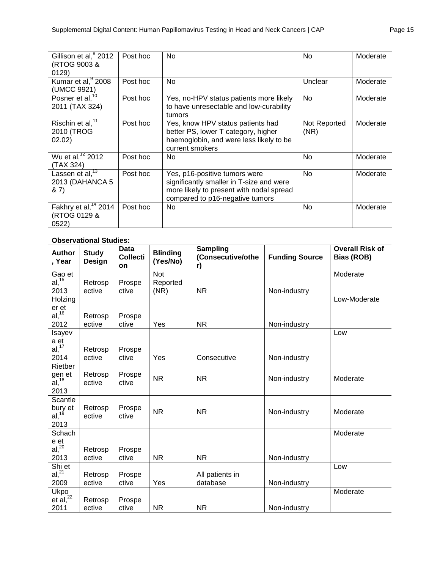| Gillison et al, <sup>8</sup> 2012<br>(RTOG 9003 &<br>0129)           | Post hoc | No                                                                                                                                                       | <b>No</b>            | Moderate |
|----------------------------------------------------------------------|----------|----------------------------------------------------------------------------------------------------------------------------------------------------------|----------------------|----------|
| Kumar et $\overline{al}$ , $\frac{9}{2008}$<br>(UMCC 9921)           | Post hoc | No                                                                                                                                                       | Unclear              | Moderate |
| Posner et al, <sup>10</sup><br>2011 (TAX 324)                        | Post hoc | Yes, no-HPV status patients more likely<br>to have unresectable and low-curability<br>tumors                                                             | No                   | Moderate |
| Rischin et al, <sup>11</sup><br>2010 (TROG<br>02.02)                 | Post hoc | Yes, know HPV status patients had<br>better PS, lower T category, higher<br>haemoglobin, and were less likely to be<br>current smokers                   | Not Reported<br>(NR) | Moderate |
| Wu et al, <sup>12</sup> 2012<br>(TAX 324)                            | Post hoc | No.                                                                                                                                                      | No                   | Moderate |
| Lassen et $\overline{al}$ , <sup>13</sup><br>2013 (DAHANCA 5<br>8,7) | Post hoc | Yes, p16-positive tumors were<br>significantly smaller in T-size and were<br>more likely to present with nodal spread<br>compared to p16-negative tumors | <b>No</b>            | Moderate |
| Fakhry et al, <sup>14</sup> 2014<br>(RTOG 0129 &<br>0522)            | Post hoc | No.                                                                                                                                                      | No.                  | Moderate |

## **Observational Studies:**

| <b>Author</b><br>, Year            | <b>Study</b><br><b>Design</b> | <b>Data</b><br><b>Collecti</b><br>on | <b>Blinding</b><br>(Yes/No) | <b>Sampling</b><br>(Consecutive/othe<br>r) | <b>Funding Source</b> | <b>Overall Risk of</b><br>Bias (ROB) |
|------------------------------------|-------------------------------|--------------------------------------|-----------------------------|--------------------------------------------|-----------------------|--------------------------------------|
| Gao et                             |                               |                                      | Not                         |                                            |                       | Moderate                             |
| $al,$ <sup>15</sup>                | Retrosp                       | Prospe                               | Reported                    |                                            |                       |                                      |
| 2013                               | ective                        | ctive                                | (NR)                        | <b>NR</b>                                  | Non-industry          |                                      |
| Holzing                            |                               |                                      |                             |                                            |                       | Low-Moderate                         |
| er et                              |                               |                                      |                             |                                            |                       |                                      |
| $al, ^{16}$                        | Retrosp                       | Prospe                               |                             |                                            |                       |                                      |
| 2012<br>Isayev                     | ective                        | ctive                                | Yes                         | <b>NR</b>                                  | Non-industry          | Low                                  |
| a et                               |                               |                                      |                             |                                            |                       |                                      |
| al, <sup>17</sup>                  | Retrosp                       | Prospe                               |                             |                                            |                       |                                      |
| 2014                               | ective                        | ctive                                | Yes                         | Consecutive                                | Non-industry          |                                      |
| Rietber                            |                               |                                      |                             |                                            |                       |                                      |
| gen et                             | Retrosp                       | Prospe                               | <b>NR</b>                   | <b>NR</b>                                  | Non-industry          | Moderate                             |
| $al, ^{18}$                        | ective                        | ctive                                |                             |                                            |                       |                                      |
| 2013                               |                               |                                      |                             |                                            |                       |                                      |
| Scantle                            | Retrosp                       | Prospe                               |                             |                                            |                       |                                      |
| bury et<br>al, <sup>19</sup>       | ective                        | ctive                                | <b>NR</b>                   | <b>NR</b>                                  | Non-industry          | Moderate                             |
| 2013                               |                               |                                      |                             |                                            |                       |                                      |
| Schach                             |                               |                                      |                             |                                            |                       | Moderate                             |
| $\frac{e}{a}$ et al, <sup>20</sup> |                               |                                      |                             |                                            |                       |                                      |
|                                    | Retrosp                       | Prospe                               |                             |                                            |                       |                                      |
| 2013                               | ective                        | ctive                                | <b>NR</b>                   | <b>NR</b>                                  | Non-industry          |                                      |
| Shi et<br>$al, ^{21}$              |                               |                                      |                             |                                            |                       | Low                                  |
| 2009                               | Retrosp<br>ective             | Prospe<br>ctive                      | Yes                         | All patients in<br>database                | Non-industry          |                                      |
| Ukpo                               |                               |                                      |                             |                                            |                       | Moderate                             |
| et al, $^{22}$                     | Retrosp                       | Prospe                               |                             |                                            |                       |                                      |
| 2011                               | ective                        | ctive                                | <b>NR</b>                   | <b>NR</b>                                  | Non-industry          |                                      |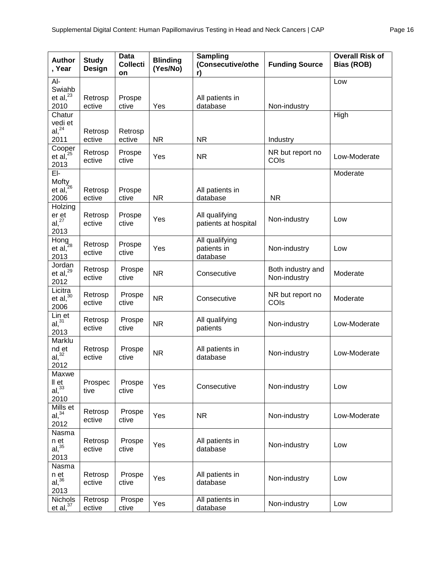| <b>Author</b><br>, Year                                 | <b>Study</b><br>Design | <b>Data</b><br><b>Collecti</b><br>on | <b>Blinding</b><br>(Yes/No) | Sampling<br>(Consecutive/othe<br>r)       | <b>Funding Source</b>             | <b>Overall Risk of</b><br>Bias (ROB) |
|---------------------------------------------------------|------------------------|--------------------------------------|-----------------------------|-------------------------------------------|-----------------------------------|--------------------------------------|
| Al-                                                     |                        |                                      |                             |                                           |                                   | Low                                  |
| Swiahb<br>et al, $^{23}$<br>2010                        | Retrosp<br>ective      | Prospe<br>ctive                      | Yes                         | All patients in<br>database               | Non-industry                      |                                      |
| Chatur<br>vedi et                                       |                        |                                      |                             |                                           |                                   | High                                 |
| $al, ^{24}$<br>2011                                     | Retrosp<br>ective      | Retrosp<br>ective                    | <b>NR</b>                   | <b>NR</b>                                 | Industry                          |                                      |
| Cooper<br>et al, <sup>25</sup><br>2013                  | Retrosp<br>ective      | Prospe<br>ctive                      | Yes                         | <b>NR</b>                                 | NR but report no<br>COIs          | Low-Moderate                         |
| EI-                                                     |                        |                                      |                             |                                           |                                   | Moderate                             |
| Mofty<br>et al, <sup>26</sup><br>2006                   | Retrosp<br>ective      | Prospe<br>ctive                      | <b>NR</b>                   | All patients in<br>database               | <b>NR</b>                         |                                      |
| Holzing<br>$\frac{er}{al}$ , $\frac{27}{l}$<br>2013     | Retrosp<br>ective      | Prospe<br>ctive                      | Yes                         | All qualifying<br>patients at hospital    | Non-industry                      | Low                                  |
| Hong et al, $^{28}$<br>2013                             | Retrosp<br>ective      | Prospe<br>ctive                      | Yes                         | All qualifying<br>patients in<br>database | Non-industry                      | Low                                  |
| Jordan<br>et al, $^{29}$<br>2012                        | Retrosp<br>ective      | Prospe<br>ctive                      | <b>NR</b>                   | Consecutive                               | Both industry and<br>Non-industry | Moderate                             |
| Licitra<br>et al, $30$<br>2006                          | Retrosp<br>ective      | Prospe<br>ctive                      | <b>NR</b>                   | Consecutive                               | NR but report no<br>COIs          | Moderate                             |
| Lin et<br>al, <sup>31</sup><br>2013                     | Retrosp<br>ective      | Prospe<br>ctive                      | <b>NR</b>                   | All qualifying<br>patients                | Non-industry                      | Low-Moderate                         |
| <b>Marklu</b><br>$nd$ <sub>et</sub><br>al, $32$<br>2012 | Retrosp<br>ective      | Prospe<br>ctive                      | <b>NR</b>                   | All patients in<br>database               | Non-industry                      | Low-Moderate                         |
| Maxwe<br>II et<br>$al,$ $33$<br>2010                    | Prospec<br>tive        | Prospe<br>ctive                      | Yes                         | Consecutive                               | Non-industry                      | Low                                  |
| Mills et<br>$al,$ <sup>34</sup><br>2012                 | Retrosp<br>ective      | Prospe<br>ctive                      | Yes                         | <b>NR</b>                                 | Non-industry                      | Low-Moderate                         |
| Nasma<br>n et<br>$al,$ <sup>35</sup><br>2013            | Retrosp<br>ective      | Prospe<br>ctive                      | Yes                         | All patients in<br>database               | Non-industry                      | Low                                  |
| Nasma<br>n et<br>$al,$ $36$<br>2013                     | Retrosp<br>ective      | Prospe<br>ctive                      | Yes                         | All patients in<br>database               | Non-industry                      | Low                                  |
| Nichols<br>et al. <sup>37</sup>                         | Retrosp<br>ective      | Prospe<br>ctive                      | Yes                         | All patients in<br>database               | Non-industry                      | Low                                  |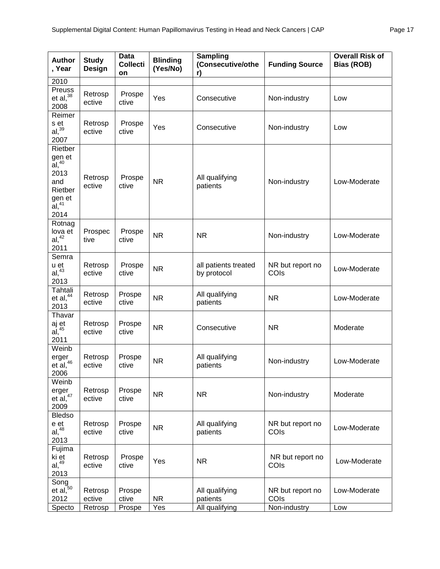| <b>Author</b><br>, Year                                                                                   | <b>Study</b><br>Design | Data<br><b>Collecti</b><br>on | <b>Blinding</b><br>(Yes/No) | Sampling<br>(Consecutive/othe<br>r) | <b>Funding Source</b>    | <b>Overall Risk of</b><br><b>Bias (ROB)</b> |
|-----------------------------------------------------------------------------------------------------------|------------------------|-------------------------------|-----------------------------|-------------------------------------|--------------------------|---------------------------------------------|
| 2010                                                                                                      |                        |                               |                             |                                     |                          |                                             |
| Preuss<br>et al, $38$<br>2008                                                                             | Retrosp<br>ective      | Prospe<br>ctive               | Yes                         | Consecutive                         | Non-industry             | Low                                         |
| Reimer<br>s et<br>$al, ^{39}$<br>2007                                                                     | Retrosp<br>ective      | Prospe<br>ctive               | Yes                         | Consecutive                         | Non-industry             | Low                                         |
| Rietber<br>gen et<br>$\tilde{a}$ l, $40$<br>2013<br>and<br>Rietber<br>gen et<br>al, <sup>41</sup><br>2014 | Retrosp<br>ective      | Prospe<br>ctive               | <b>NR</b>                   | All qualifying<br>patients          | Non-industry             | Low-Moderate                                |
| Rotnag<br>lova et<br>$al, ^{42}$<br>2011                                                                  | Prospec<br>tive        | Prospe<br>ctive               | <b>NR</b>                   | <b>NR</b>                           | Non-industry             | Low-Moderate                                |
| Semra<br>u et<br>$al, ^{43}$<br>2013                                                                      | Retrosp<br>ective      | Prospe<br>ctive               | <b>NR</b>                   | all patients treated<br>by protocol | NR but report no<br>COIs | Low-Moderate                                |
| Tahtali<br>et al, $44$<br>2013                                                                            | Retrosp<br>ective      | Prospe<br>ctive               | <b>NR</b>                   | All qualifying<br>patients          | <b>NR</b>                | Low-Moderate                                |
| Thavar<br>aj et<br>al, <sup>45</sup><br>2011                                                              | Retrosp<br>ective      | Prospe<br>ctive               | <b>NR</b>                   | Consecutive                         | <b>NR</b>                | Moderate                                    |
| Weinb<br>erger<br>$et$ al, $46$<br>2006                                                                   | Retrosp<br>ective      | Prospe<br>ctive               | <b>NR</b>                   | All qualifying<br>patients          | Non-industry             | Low-Moderate                                |
| Weinb<br>erger<br>et al, $47$<br>2009                                                                     | Retrosp<br>ective      | Prospe<br>ctive               | <b>NR</b>                   | <b>NR</b>                           | Non-industry             | Moderate                                    |
| <b>Bledso</b><br>e et<br>$al, ^{48}$<br>2013                                                              | Retrosp<br>ective      | Prospe<br>ctive               | <b>NR</b>                   | All qualifying<br>patients          | NR but report no<br>COIs | Low-Moderate                                |
| Fujima<br>ki et<br>$al, ^{49}$<br>2013                                                                    | Retrosp<br>ective      | Prospe<br>ctive               | Yes                         | <b>NR</b>                           | NR but report no<br>COIs | Low-Moderate                                |
| Song<br>et al, <sup>50</sup><br>2012                                                                      | Retrosp<br>ective      | Prospe<br>ctive               | <b>NR</b>                   | All qualifying<br>patients          | NR but report no<br>COIs | Low-Moderate                                |
| Specto                                                                                                    | Retrosp                | Prospe                        | Yes                         | All qualifying                      | Non-industry             | Low                                         |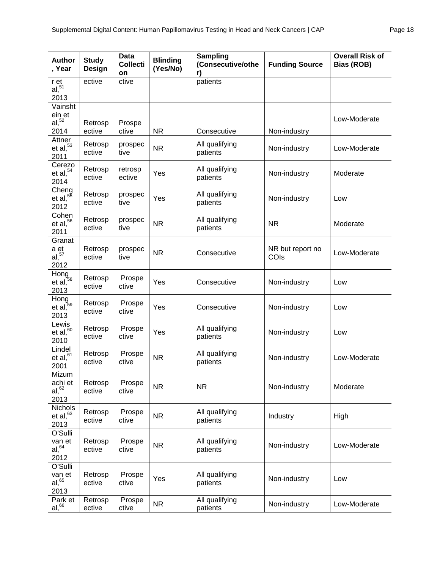| <b>Author</b><br>, Year                            | <b>Study</b><br><b>Design</b> | <b>Data</b><br><b>Collecti</b><br>on | <b>Blinding</b><br>(Yes/No) | Sampling<br>(Consecutive/othe<br>r) | <b>Funding Source</b>    | <b>Overall Risk of</b><br><b>Bias (ROB)</b> |
|----------------------------------------------------|-------------------------------|--------------------------------------|-----------------------------|-------------------------------------|--------------------------|---------------------------------------------|
| r et<br>al, 51<br>2013                             | ective                        | ctive                                |                             | patients                            |                          |                                             |
| Vainsht<br>ein et<br>$al,$ <sup>52</sup>           | Retrosp                       | Prospe                               |                             |                                     |                          | Low-Moderate                                |
| 2014                                               | ective                        | ctive                                | <b>NR</b>                   | Consecutive                         | Non-industry             |                                             |
| Attner<br>et al. <sup>53</sup><br>2011             | Retrosp<br>ective             | prospec<br>tive                      | <b>NR</b>                   | All qualifying<br>patients          | Non-industry             | Low-Moderate                                |
| Cerezo<br>et al, $54$<br>2014                      | Retrosp<br>ective             | retrosp<br>ective                    | Yes                         | All qualifying<br>patients          | Non-industry             | Moderate                                    |
| Cheng<br>et al, $55$<br>2012                       | Retrosp<br>ective             | prospec<br>tive                      | Yes                         | All qualifying<br>patients          | Non-industry             | Low                                         |
| Cohen<br>et al, $56$<br>2011                       | Retrosp<br>ective             | prospec<br>tive                      | <b>NR</b>                   | All qualifying<br>patients          | <b>NR</b>                | Moderate                                    |
| Granat<br>a et<br>al, <sup>57</sup><br>2012        | Retrosp<br>ective             | prospec<br>tive                      | <b>NR</b>                   | Consecutive                         | NR but report no<br>COIs | Low-Moderate                                |
| $\overline{\text{Hong}}$<br>et al, $^{58}$<br>2013 | Retrosp<br>ective             | Prospe<br>ctive                      | Yes                         | Consecutive                         | Non-industry             | Low                                         |
| Hong<br>$\frac{1}{2}$ 59<br>et al,<br>2013         | Retrosp<br>ective             | Prospe<br>ctive                      | Yes                         | Consecutive                         | Non-industry             | Low                                         |
| Lewis<br>et al, $60$<br>2010                       | Retrosp<br>ective             | Prospe<br>ctive                      | Yes                         | All qualifying<br>patients          | Non-industry             | Low                                         |
| Lindel<br>et al, $61$<br>2001                      | Retrosp<br>ective             | Prospe<br>ctive                      | <b>NR</b>                   | All qualifying<br>patients          | Non-industry             | Low-Moderate                                |
| Mizum<br>achi et<br>$al,$ <sup>62</sup><br>2013    | Retrosp<br>ective             | Prospe<br>ctive                      | <b>NR</b>                   | <b>NR</b>                           | Non-industry             | Moderate                                    |
| <b>Nichols</b><br>et al, $63$<br>2013              | Retrosp<br>ective             | Prospe<br>ctive                      | <b>NR</b>                   | All qualifying<br>patients          | Industry                 | High                                        |
| O'Sulli<br>van et<br>$aI,$ <sup>64</sup><br>2012   | Retrosp<br>ective             | Prospe<br>ctive                      | <b>NR</b>                   | All qualifying<br>patients          | Non-industry             | Low-Moderate                                |
| O'Sulli<br>van et<br>$aI,$ <sup>65</sup><br>2013   | Retrosp<br>ective             | Prospe<br>ctive                      | Yes                         | All qualifying<br>patients          | Non-industry             | Low                                         |
| Park et<br>al, 66                                  | Retrosp<br>ective             | Prospe<br>ctive                      | <b>NR</b>                   | All qualifying<br>patients          | Non-industry             | Low-Moderate                                |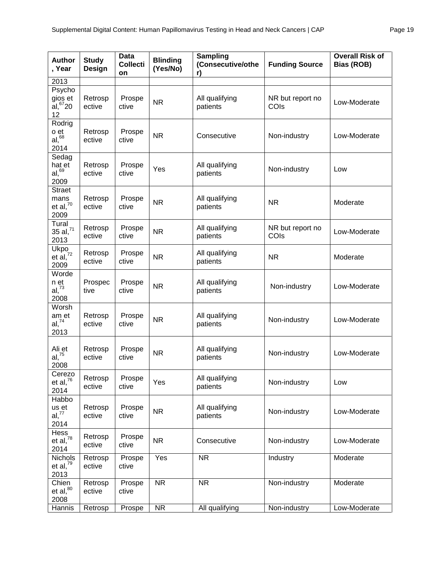| <b>Author</b><br>, Year                         | <b>Study</b><br>Design | <b>Data</b><br><b>Collecti</b><br>on | <b>Blinding</b><br>(Yes/No) | Sampling<br>(Consecutive/othe<br>r) | <b>Funding Source</b>    | <b>Overall Risk of</b><br>Bias (ROB) |
|-------------------------------------------------|------------------------|--------------------------------------|-----------------------------|-------------------------------------|--------------------------|--------------------------------------|
| 2013                                            |                        |                                      |                             |                                     |                          |                                      |
| Psycho<br>gios et<br>$aI, ^{67}20$<br>12        | Retrosp<br>ective      | Prospe<br>ctive                      | <b>NR</b>                   | All qualifying<br>patients          | NR but report no<br>COIs | Low-Moderate                         |
| Rodrig<br>o et<br>al, <sup>68</sup><br>2014     | Retrosp<br>ective      | Prospe<br>ctive                      | <b>NR</b>                   | Consecutive                         | Non-industry             | Low-Moderate                         |
| Sedag<br>hat et<br>al, <sup>69</sup><br>2009    | Retrosp<br>ective      | Prospe<br>ctive                      | Yes                         | All qualifying<br>patients          | Non-industry             | Low                                  |
| <b>Straet</b><br>mans<br>et al, $^{70}$<br>2009 | Retrosp<br>ective      | Prospe<br>ctive                      | <b>NR</b>                   | All qualifying<br>patients          | <b>NR</b>                | Moderate                             |
| Tural<br>$35$ al, $^{71}$<br>2013               | Retrosp<br>ective      | Prospe<br>ctive                      | <b>NR</b>                   | All qualifying<br>patients          | NR but report no<br>COIs | Low-Moderate                         |
| Ukpo<br>et al, $^{72}$<br>2009                  | Retrosp<br>ective      | Prospe<br>ctive                      | <b>NR</b>                   | All qualifying<br>patients          | <b>NR</b>                | Moderate                             |
| Worde<br>n et<br>$al, ^{73}$<br>2008            | Prospec<br>tive        | Prospe<br>ctive                      | <b>NR</b>                   | All qualifying<br>patients          | Non-industry             | Low-Moderate                         |
| Worsh<br>am et<br>al, 74<br>2013                | Retrosp<br>ective      | Prospe<br>ctive                      | <b>NR</b>                   | All qualifying<br>patients          | Non-industry             | Low-Moderate                         |
| Ali et<br>$al, ^{75}$<br>2008                   | Retrosp<br>ective      | Prospe<br>ctive                      | <b>NR</b>                   | All qualifying<br>patients          | Non-industry             | Low-Moderate                         |
| Cerezo<br>et al, $^{76}$<br>2014                | Retrosp<br>ective      | Prospe<br>ctive                      | Yes                         | All qualifying<br>patients          | Non-industry             | Low                                  |
| Habbo<br>us et<br>al, 77<br>2014                | Retrosp<br>ective      | Prospe<br>ctive                      | <b>NR</b>                   | All qualifying<br>patients          | Non-industry             | Low-Moderate                         |
| Hess<br>et al, $^{78}$<br>2014                  | Retrosp<br>ective      | Prospe<br>ctive                      | <b>NR</b>                   | Consecutive                         | Non-industry             | Low-Moderate                         |
| Nichols<br>et al, $^{79}$<br>2013               | Retrosp<br>ective      | Prospe<br>ctive                      | Yes                         | <b>NR</b>                           | Industry                 | Moderate                             |
| Chien<br>et al, $^{80}$<br>2008                 | Retrosp<br>ective      | Prospe<br>ctive                      | <b>NR</b>                   | <b>NR</b>                           | Non-industry             | Moderate                             |
| Hannis                                          | Retrosp                | Prospe                               | <b>NR</b>                   | All qualifying                      | Non-industry             | Low-Moderate                         |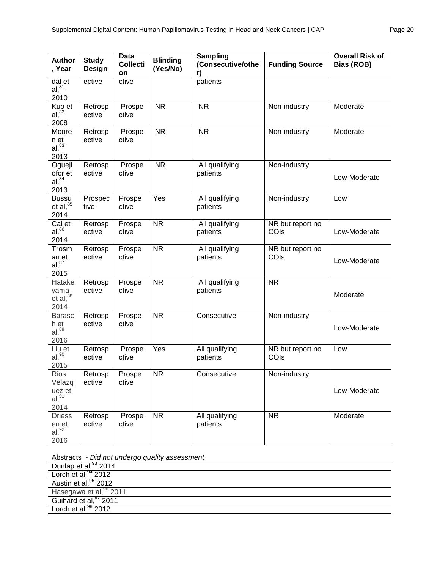| <b>Author</b><br>, Year                                                    | <b>Study</b><br>Design | <b>Data</b><br><b>Collecti</b><br>on | <b>Blinding</b><br>(Yes/No) | <b>Sampling</b><br>(Consecutive/othe<br>r) | <b>Funding Source</b>    | <b>Overall Risk of</b><br>Bias (ROB) |
|----------------------------------------------------------------------------|------------------------|--------------------------------------|-----------------------------|--------------------------------------------|--------------------------|--------------------------------------|
| dal et<br>al <sup>81</sup><br>2010                                         | ective                 | ctive                                |                             | patients                                   |                          |                                      |
| Kuo et<br>al, <sup>82</sup><br>2008                                        | Retrosp<br>ective      | Prospe<br>ctive                      | <b>NR</b>                   | <b>NR</b>                                  | Non-industry             | Moderate                             |
| Moore<br>n et<br>al, <sup>83</sup><br>2013                                 | Retrosp<br>ective      | Prospe<br>ctive                      | <b>NR</b>                   | <b>NR</b>                                  | Non-industry             | Moderate                             |
| Ogueji<br>ofor et<br>al, <sup>84</sup><br>2013                             | Retrosp<br>ective      | Prospe<br>ctive                      | <b>NR</b>                   | All qualifying<br>patients                 | Non-industry             | Low-Moderate                         |
| <b>Bussu</b><br>et al, $^{85}$<br>2014                                     | Prospec<br>tive        | Prospe<br>ctive                      | Yes                         | All qualifying<br>patients                 | Non-industry             | Low                                  |
| Cai et<br>$al,$ <sup>86</sup><br>2014                                      | Retrosp<br>ective      | Prospe<br>ctive                      | <b>NR</b>                   | All qualifying<br>patients                 | NR but report no<br>COIs | Low-Moderate                         |
| Trosm<br>an et<br>$al,$ <sup>87</sup><br>2015                              | Retrosp<br>ective      | Prospe<br>ctive                      | <b>NR</b>                   | All qualifying<br>patients                 | NR but report no<br>COIs | Low-Moderate                         |
| Hatake<br>yama<br>$_{\rm et}^{\prime}$ al, $_{\rm ^{88}}^{\prime}$<br>2014 | Retrosp<br>ective      | Prospe<br>ctive                      | <b>NR</b>                   | All qualifying<br>patients                 | <b>NR</b>                | Moderate                             |
| <b>Barasc</b><br>h et<br>$al,$ <sup>89</sup><br>2016                       | Retrosp<br>ective      | Prospe<br>ctive                      | $\overline{\text{NR}}$      | Consecutive                                | Non-industry             | Low-Moderate                         |
| Liu et<br>al, <sup>90</sup><br>2015                                        | Retrosp<br>ective      | Prospe<br>ctive                      | Yes                         | All qualifying<br>patients                 | NR but report no<br>COIs | Low                                  |
| Rios<br>Velazq<br>uez et<br>$al, ^{91}$<br>2014                            | Retrosp<br>ective      | Prospe<br>ctive                      | $\overline{\text{NR}}$      | Consecutive                                | Non-industry             | Low-Moderate                         |
| <b>Driess</b><br>en et<br>$al, \frac{92}{3}$<br>2016                       | Retrosp<br>ective      | Prospe<br>ctive                      | <b>NR</b>                   | All qualifying<br>patients                 | <b>NR</b>                | Moderate                             |

| Dunlap et al, $93$ 2014          |
|----------------------------------|
| Lorch et al, $94$ 2012           |
| Austin et al, <sup>95</sup> 2012 |
| Hasegawa et al, 96 2011          |
| Guihard et al, 97 2011           |
| Lorch et al, <sup>98</sup> 2012  |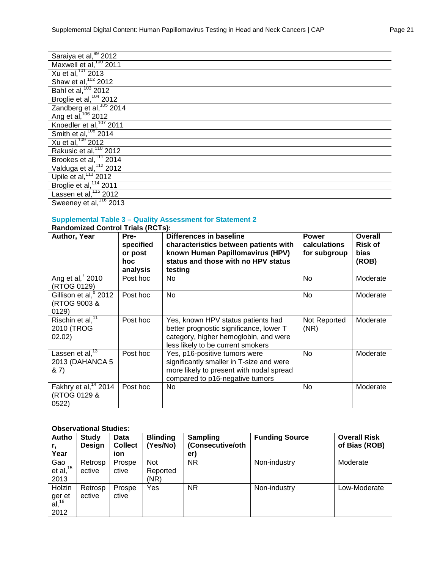| Saraiya et al, 99 2012              |
|-------------------------------------|
| Maxwell et al, $100$ 2011           |
| $Xu$ et al, $101$ 2013              |
| Shaw et al, <sup>102</sup> 2012     |
| Bahl et al, <sup>103</sup> 2012     |
| Broglie et al, <sup>104</sup> 2012  |
| Zandberg et al, <sup>105</sup> 2014 |
| Ang et al, <sup>106</sup> 2012      |
| Knoedler et al, <sup>107</sup> 2011 |
| Smith et al, <sup>108</sup> 2014    |
| Xu et al, $109$ 2012                |
| Rakusic et al, <sup>110</sup> 2012  |
| Brookes et al, <sup>111</sup> 2014  |
| Valduga et al, <sup>112</sup> 2012  |
| Upile et al, <sup>113</sup> 2012    |
| Broglie et al, <sup>114</sup> 2011  |
| Lassen et al, <sup>115</sup> 2012   |
| Sweeney et al, <sup>116</sup> 2013  |

## **Supplemental Table 3 – Quality Assessment for Statement 2**

| <b>Randomized Control Trials (RCTs):</b>                             |                                                 |                                                                                                                                                             |                                              |                                                   |  |  |  |  |  |
|----------------------------------------------------------------------|-------------------------------------------------|-------------------------------------------------------------------------------------------------------------------------------------------------------------|----------------------------------------------|---------------------------------------------------|--|--|--|--|--|
| Author, Year                                                         | Pre-<br>specified<br>or post<br>hoc<br>analysis | Differences in baseline<br>characteristics between patients with<br>known Human Papillomavirus (HPV)<br>status and those with no HPV status<br>testing      | <b>Power</b><br>calculations<br>for subgroup | Overall<br><b>Risk of</b><br><b>bias</b><br>(ROB) |  |  |  |  |  |
| Ang et al, 2010<br>(RTOG 0129)                                       | Post hoc                                        | No.                                                                                                                                                         | No                                           | Moderate                                          |  |  |  |  |  |
| Gillison et al, <sup>8</sup> 2012<br>(RTOG 9003 &<br>0129)           | Post hoc                                        | <b>No</b>                                                                                                                                                   | <b>No</b>                                    | Moderate                                          |  |  |  |  |  |
| Rischin et al, <sup>11</sup><br>2010 (TROG<br>02.02)                 | Post hoc                                        | Yes, known HPV status patients had<br>better prognostic significance, lower T<br>category, higher hemoglobin, and were<br>less likely to be current smokers | Not Reported<br>(NR)                         | Moderate                                          |  |  |  |  |  |
| Lassen et $\overline{al}$ , <sup>13</sup><br>2013 (DAHANCA 5<br>& 7) | Post hoc                                        | Yes, p16-positive tumors were<br>significantly smaller in T-size and were<br>more likely to present with nodal spread<br>compared to p16-negative tumors    | No                                           | Moderate                                          |  |  |  |  |  |
| Fakhry et al, <sup>14</sup> 2014<br>(RTOG 0129 &<br>0522)            | Post hoc                                        | No                                                                                                                                                          | No                                           | Moderate                                          |  |  |  |  |  |

## **Observational Studies:**

| Autho                       | <b>Study</b> | <b>Data</b>    | <b>Blinding</b> | Sampling         | <b>Funding Source</b> | <b>Overall Risk</b> |
|-----------------------------|--------------|----------------|-----------------|------------------|-----------------------|---------------------|
| r,                          | Design       | <b>Collect</b> | (Yes/No)        | (Consecutive/oth |                       | of Bias (ROB)       |
| Year                        |              | ion            |                 | er)              |                       |                     |
| Gao                         | Retrosp      | Prospe         | <b>Not</b>      | NR.              | Non-industry          | Moderate            |
| et al, $15$                 | ective       | ctive          | Reported        |                  |                       |                     |
| 2013                        |              |                | (NR)            |                  |                       |                     |
| Holzin                      | Retrosp      | Prospe         | Yes             | NR.              | Non-industry          | Low-Moderate        |
|                             | ective       | ctive          |                 |                  |                       |                     |
| ger et<br>al, <sup>16</sup> |              |                |                 |                  |                       |                     |
| 2012                        |              |                |                 |                  |                       |                     |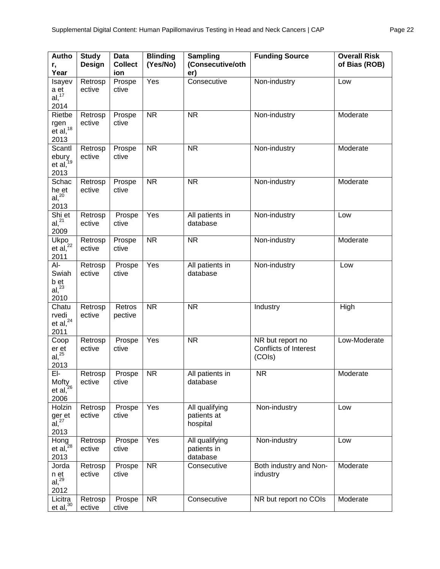| Autho<br>r,<br>Year                               | <b>Study</b><br>Design | <b>Data</b><br><b>Collect</b><br>ion | <b>Blinding</b><br>(Yes/No) | Sampling<br>(Consecutive/oth<br>er)       | <b>Funding Source</b>                                      | <b>Overall Risk</b><br>of Bias (ROB) |
|---------------------------------------------------|------------------------|--------------------------------------|-----------------------------|-------------------------------------------|------------------------------------------------------------|--------------------------------------|
| Isayev<br>a et<br>al, <sup>17</sup><br>2014       | Retrosp<br>ective      | Prospe<br>ctive                      | Yes                         | Consecutive                               | Non-industry                                               | Low                                  |
| Rietbe<br>rgen<br>$et$ al, $18$<br>2013           | Retrosp<br>ective      | Prospe<br>ctive                      | <b>NR</b>                   | <b>NR</b>                                 | Non-industry                                               | Moderate                             |
| Scantl<br>ebury<br>et al, <sup>19</sup><br>2013   | Retrosp<br>ective      | Prospe<br>ctive                      | <b>NR</b>                   | <b>NR</b>                                 | Non-industry                                               | Moderate                             |
| Schac<br>he et<br>al <sup>20</sup><br>2013        | Retrosp<br>ective      | Prospe<br>ctive                      | <b>NR</b>                   | <b>NR</b>                                 | Non-industry                                               | Moderate                             |
| Shi et<br>$al, ^{21}$<br>2009                     | Retrosp<br>ective      | Prospe<br>ctive                      | Yes                         | All patients in<br>database               | Non-industry                                               | Low                                  |
| Ukpo<br>et al <sup>22</sup><br>2011               | Retrosp<br>ective      | Prospe<br>ctive                      | <b>NR</b>                   | <b>NR</b>                                 | Non-industry                                               | Moderate                             |
| $Al-$<br>Swiah<br>$b$ et al, $23$<br>2010         | Retrosp<br>ective      | Prospe<br>ctive                      | Yes                         | All patients in<br>database               | Non-industry                                               | Low                                  |
| Chatu<br>rvedi<br>et al, $^{24}$<br>2011          | Retrosp<br>ective      | Retros<br>pective                    | <b>NR</b>                   | <b>NR</b>                                 | Industry                                                   | High                                 |
| Coop<br>$\frac{er}{al}$ , $\frac{25}{3}$<br>2013  | Retrosp<br>ective      | Prospe<br>ctive                      | Yes                         | <b>NR</b>                                 | NR but report no<br><b>Conflicts of Interest</b><br>(COIs) | Low-Moderate                         |
| EI-<br>Mofty<br>et al, <sup>26</sup><br>2006      | Retrosp<br>ective      | Prospe<br>ctive                      | <b>NR</b>                   | All patients in<br>database               | <b>NR</b>                                                  | Moderate                             |
| Holzin<br>ger et<br>$\tilde{a}$ , $^{27}$<br>2013 | Retrosp<br>ective      | Prospe<br>ctive                      | Yes                         | All qualifying<br>patients at<br>hospital | Non-industry                                               | Low                                  |
| Hong<br>et al, $^{28}$<br>2013                    | Retrosp<br>ective      | Prospe<br>ctive                      | Yes                         | All qualifying<br>patients in<br>database | Non-industry                                               | Low                                  |
| Jorda<br>n et<br>$al, ^{29}$<br>2012              | Retrosp<br>ective      | Prospe<br>ctive                      | <b>NR</b>                   | Consecutive                               | Both industry and Non-<br>industry                         | Moderate                             |
| Licitra<br>et al <sup>30</sup>                    | Retrosp<br>ective      | Prospe<br>ctive                      | <b>NR</b>                   | Consecutive                               | NR but report no COIs                                      | Moderate                             |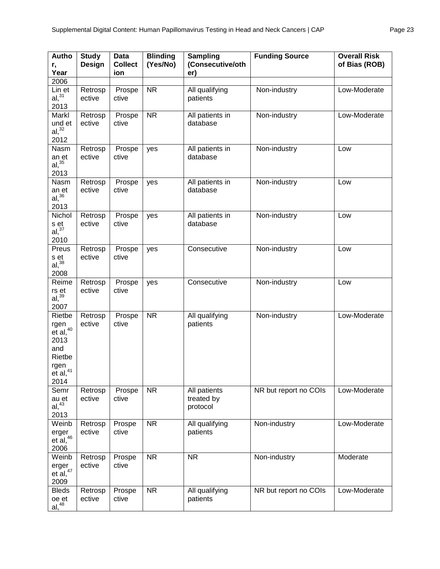| Autho<br>r,<br>Year                                                                          | <b>Study</b><br><b>Design</b> | <b>Data</b><br><b>Collect</b><br>ion | <b>Blinding</b><br>(Yes/No) | <b>Sampling</b><br>(Consecutive/oth<br>er) | <b>Funding Source</b> | <b>Overall Risk</b><br>of Bias (ROB) |
|----------------------------------------------------------------------------------------------|-------------------------------|--------------------------------------|-----------------------------|--------------------------------------------|-----------------------|--------------------------------------|
| 2006                                                                                         |                               |                                      |                             |                                            |                       |                                      |
| Lin et<br>al, <sup>31</sup><br>2013                                                          | Retrosp<br>ective             | Prospe<br>ctive                      | <b>NR</b>                   | All qualifying<br>patients                 | Non-industry          | Low-Moderate                         |
| Markl<br>und et<br>$al,$ $32$<br>2012                                                        | Retrosp<br>ective             | Prospe<br>ctive                      | <b>NR</b>                   | All patients in<br>database                | Non-industry          | Low-Moderate                         |
| Nasm<br>an et<br>al, <sup>35</sup><br>2013                                                   | Retrosp<br>ective             | Prospe<br>ctive                      | yes                         | All patients in<br>database                | Non-industry          | Low                                  |
| Nasm<br>an et<br>$al,$ $36$<br>2013                                                          | Retrosp<br>ective             | Prospe<br>ctive                      | yes                         | All patients in<br>database                | Non-industry          | Low                                  |
| Nichol<br>s et<br>al, <sup>37</sup><br>2010                                                  | Retrosp<br>ective             | Prospe<br>ctive                      | yes                         | All patients in<br>database                | Non-industry          | Low                                  |
| Preus<br>s et<br>$al,$ $38$<br>2008                                                          | Retrosp<br>ective             | Prospe<br>ctive                      | yes                         | Consecutive                                | Non-industry          | Low                                  |
| Reime<br>rs et<br>$al,$ <sup>39</sup><br>2007                                                | Retrosp<br>ective             | Prospe<br>ctive                      | yes                         | Consecutive                                | Non-industry          | Low                                  |
| Rietbe<br>rgen<br>$et$ al, $40$<br>2013<br>and<br>Rietbe<br>rgen<br>$e^{t}$ al, $41$<br>2014 | Retrosp<br>ective             | Prospe<br>ctive                      | <b>NR</b>                   | All qualifying<br>patients                 | Non-industry          | Low-Moderate                         |
| Semr<br>au et<br>$al, ^{43}$<br>2013                                                         | Retrosp<br>ective             | Prospe<br>ctive                      | <b>NR</b>                   | All patients<br>treated by<br>protocol     | NR but report no COIs | Low-Moderate                         |
| Weinb<br>erger<br>$et$ al, $46$<br>2006                                                      | Retrosp<br>ective             | Prospe<br>ctive                      | <b>NR</b>                   | All qualifying<br>patients                 | Non-industry          | Low-Moderate                         |
| Weinb<br>erger<br>et $al, ^{47}$<br>2009                                                     | Retrosp<br>ective             | Prospe<br>ctive                      | <b>NR</b>                   | <b>NR</b>                                  | Non-industry          | Moderate                             |
| <b>Bleds</b><br>oe et<br>$al, ^{48}$                                                         | Retrosp<br>ective             | Prospe<br>ctive                      | <b>NR</b>                   | All qualifying<br>patients                 | NR but report no COIs | Low-Moderate                         |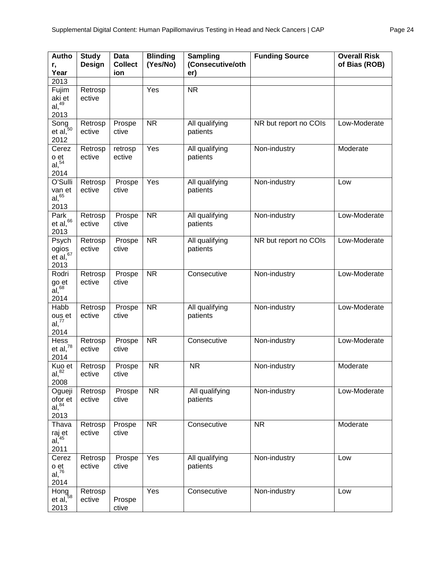| Autho<br>r,<br>Year                                         | <b>Study</b><br>Design | <b>Data</b><br><b>Collect</b><br>ion | <b>Blinding</b><br>(Yes/No) | <b>Sampling</b><br>(Consecutive/oth<br>er) | <b>Funding Source</b> | <b>Overall Risk</b><br>of Bias (ROB) |
|-------------------------------------------------------------|------------------------|--------------------------------------|-----------------------------|--------------------------------------------|-----------------------|--------------------------------------|
| 2013                                                        |                        |                                      |                             |                                            |                       |                                      |
| Fujim<br>aki et<br>$al, ^{49}$<br>2013                      | Retrosp<br>ective      |                                      | Yes                         | <b>NR</b>                                  |                       |                                      |
| Song<br>et al, <sup>50</sup><br>2012                        | Retrosp<br>ective      | Prospe<br>ctive                      | <b>NR</b>                   | All qualifying<br>patients                 | NR but report no COIs | Low-Moderate                         |
| Cerez<br>o et<br>$al,$ <sup>54</sup><br>2014                | Retrosp<br>ective      | retrosp<br>ective                    | Yes                         | All qualifying<br>patients                 | Non-industry          | Moderate                             |
| O'Sulli<br>van et<br>aI, 65<br>2013                         | Retrosp<br>ective      | Prospe<br>ctive                      | Yes                         | All qualifying<br>patients                 | Non-industry          | Low                                  |
| Park<br>et al, $66$<br>2013                                 | Retrosp<br>ective      | Prospe<br>ctive                      | <b>NR</b>                   | All qualifying<br>patients                 | Non-industry          | Low-Moderate                         |
| Psych<br>ogios<br>$e\bar{t}$ al, $67$<br>2013               | Retrosp<br>ective      | Prospe<br>ctive                      | <b>NR</b>                   | All qualifying<br>patients                 | NR but report no COIs | Low-Moderate                         |
| Rodri<br>go et<br>$\overline{a}$ l, $\overline{68}$<br>2014 | Retrosp<br>ective      | Prospe<br>ctive                      | <b>NR</b>                   | Consecutive                                | Non-industry          | Low-Moderate                         |
| Habb<br>ous et<br>al, 77<br>2014                            | Retrosp<br>ective      | Prospe<br>ctive                      | <b>NR</b>                   | All qualifying<br>patients                 | Non-industry          | Low-Moderate                         |
| Hess<br>et al, $^{78}$<br>2014                              | Retrosp<br>ective      | Prospe<br>ctive                      | <b>NR</b>                   | Consecutive                                | Non-industry          | Low-Moderate                         |
| Kuo et<br>al, <sup>82</sup><br>2008                         | Retrosp<br>ective      | Prospe<br>ctive                      | <b>NR</b>                   | <b>NR</b>                                  | Non-industry          | Moderate                             |
| Ogueji<br>ofor et<br>al, <sup>84</sup><br>2013              | Retrosp<br>ective      | Prospe<br>ctive                      | <b>NR</b>                   | All qualifying<br>patients                 | Non-industry          | Low-Moderate                         |
| Thava<br>raj et<br>al, <sup>45</sup><br>2011                | Retrosp<br>ective      | Prospe<br>ctive                      | <b>NR</b>                   | Consecutive                                | <b>NR</b>             | Moderate                             |
| Cerez<br>o et<br>al <sup>76</sup><br>2014                   | Retrosp<br>ective      | Prospe<br>ctive                      | Yes                         | All qualifying<br>patients                 | Non-industry          | Low                                  |
| Hong<br>et al, $58$<br>2013                                 | Retrosp<br>ective      | Prospe<br>ctive                      | Yes                         | Consecutive                                | Non-industry          | Low                                  |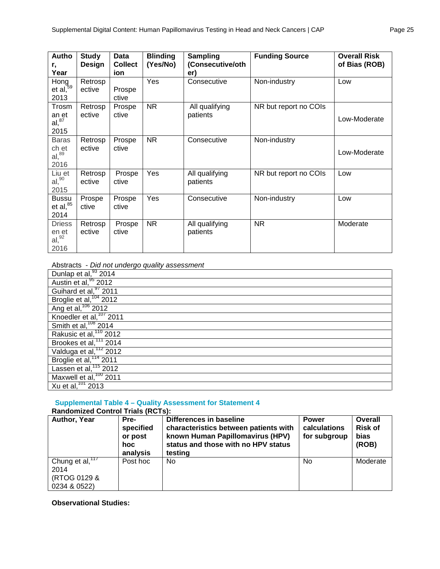| Autho<br>r,<br>Year                                | <b>Study</b><br>Design | Data<br><b>Collect</b><br>ion | <b>Blinding</b><br>(Yes/No) | <b>Sampling</b><br>(Consecutive/oth<br>er) | <b>Funding Source</b> | <b>Overall Risk</b><br>of Bias (ROB) |
|----------------------------------------------------|------------------------|-------------------------------|-----------------------------|--------------------------------------------|-----------------------|--------------------------------------|
| Hong<br>et al, <sup>59</sup><br>2013               | Retrosp<br>ective      | Prospe<br>ctive               | Yes                         | Consecutive                                | Non-industry          | Low                                  |
| Trosm<br>an et<br>al <sup>87</sup><br>2015         | Retrosp<br>ective      | Prospe<br>ctive               | NR.                         | All qualifying<br>patients                 | NR but report no COIs | Low-Moderate                         |
| <b>Baras</b><br>ch et<br>al, <sup>89</sup><br>2016 | Retrosp<br>ective      | Prospe<br>ctive               | <b>NR</b>                   | Consecutive                                | Non-industry          | Low-Moderate                         |
| Liu et<br>al <sub>1</sub> <sup>90</sup><br>2015    | Retrosp<br>ective      | Prospe<br>ctive               | Yes                         | All qualifying<br>patients                 | NR but report no COIs | Low                                  |
| <b>Bussu</b><br>et al, $^{85}$<br>2014             | Prospe<br>ctive        | Prospe<br>ctive               | Yes                         | Consecutive                                | Non-industry          | Low                                  |
| <b>Driess</b><br>en et<br>al <sup>92</sup><br>2016 | Retrosp<br>ective      | Prospe<br>ctive               | <b>NR</b>                   | All qualifying<br>patients                 | <b>NR</b>             | Moderate                             |

Abstracts - *Did not undergo quality assessment*

| Dunlap et al, 33 2014              |
|------------------------------------|
| Austin et al, <sup>95</sup> 2012   |
| Guihard et al, 97 2011             |
| Broglie et al, <sup>104</sup> 2012 |
| Ang et al, <sup>106</sup> 2012     |
| Knoedler et al, $\frac{107}{2011}$ |
| Smith et al, <sup>108</sup> 2014   |
| Rakusic et al, <sup>110</sup> 2012 |
| Brookes et al, <sup>111</sup> 2014 |
| Valduga et al, <sup>112</sup> 2012 |
| Broglie et al, <sup>114</sup> 2011 |
| Lassen et al, <sup>115</sup> 2012  |
| Maxwell et al, $100$ 2011          |
| Xu et al, 101 2013                 |

## **Supplemental Table 4 – Quality Assessment for Statement 4**

| <b>Randomized Control Trials (RCTs):</b>                   |                                                  |                                                                                                                                                        |                                              |                                                   |
|------------------------------------------------------------|--------------------------------------------------|--------------------------------------------------------------------------------------------------------------------------------------------------------|----------------------------------------------|---------------------------------------------------|
| Author, Year                                               | Pre-<br>specified<br>or post<br>hoc.<br>analysis | Differences in baseline<br>characteristics between patients with<br>known Human Papillomavirus (HPV)<br>status and those with no HPV status<br>testing | <b>Power</b><br>calculations<br>for subgroup | <b>Overall</b><br><b>Risk of</b><br>bias<br>(ROB) |
| Chung et al, $177$<br>2014<br>(RTOG 0129 &<br>0234 & 0522) | Post hoc                                         | No                                                                                                                                                     | N <sub>0</sub>                               | Moderate                                          |

**Observational Studies:**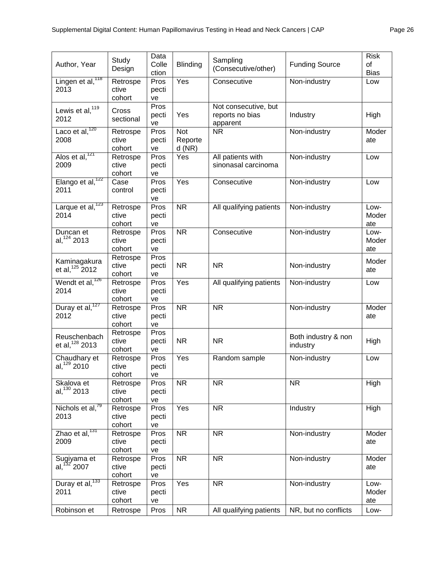| Author, Year                               | Study<br>Design             | Data<br>Colle<br>ction | Blinding                          | Sampling<br>(Consecutive/other)                     | <b>Funding Source</b>           | <b>Risk</b><br>of<br><b>Bias</b> |
|--------------------------------------------|-----------------------------|------------------------|-----------------------------------|-----------------------------------------------------|---------------------------------|----------------------------------|
| Lingen et al, <sup>118</sup><br>2013       | Retrospe<br>ctive<br>cohort | Pros<br>pecti<br>ve    | Yes                               | Consecutive                                         | Non-industry                    | Low                              |
| Lewis et al, $^{119}$<br>2012              | Cross<br>sectional          | Pros<br>pecti<br>ve    | Yes                               | Not consecutive, but<br>reports no bias<br>apparent | Industry                        | High                             |
| Laco et al, $^{120}$<br>2008               | Retrospe<br>ctive<br>cohort | Pros<br>pecti<br>ve    | <b>Not</b><br>Reporte<br>$d$ (NR) | <b>NR</b>                                           | Non-industry                    | Moder<br>ate                     |
| Alos et al, <sup>121</sup><br>2009         | Retrospe<br>ctive<br>cohort | Pros<br>pecti<br>ve    | Yes                               | All patients with<br>sinonasal carcinoma            | Non-industry                    | Low                              |
| Elango et al, <sup>122</sup><br>2011       | Case<br>control             | Pros<br>pecti<br>ve    | Yes                               | Consecutive                                         | Non-industry                    | Low                              |
| Larque et al, <sup>123</sup><br>2014       | Retrospe<br>ctive<br>cohort | Pros<br>pecti<br>ve    | <b>NR</b>                         | All qualifying patients                             | Non-industry                    | Low-<br>Moder<br>ate             |
| Duncan et<br>al, 124 2013                  | Retrospe<br>ctive<br>cohort | Pros<br>pecti<br>ve    | <b>NR</b>                         | Consecutive                                         | Non-industry                    | Low-<br>Moder<br>ate             |
| Kaminagakura<br>et al, <sup>125</sup> 2012 | Retrospe<br>ctive<br>cohort | Pros<br>pecti<br>ve    | <b>NR</b>                         | <b>NR</b>                                           | Non-industry                    | Moder<br>ate                     |
| Wendt et al, <sup>126</sup><br>2014        | Retrospe<br>ctive<br>cohort | Pros<br>pecti<br>ve    | Yes                               | All qualifying patients                             | Non-industry                    | Low                              |
| Duray et al, <sup>127</sup><br>2012        | Retrospe<br>ctive<br>cohort | Pros<br>pecti<br>ve    | <b>NR</b>                         | <b>NR</b>                                           | Non-industry                    | Moder<br>ate                     |
| Reuschenbach<br>et al, $128$ 2013          | Retrospe<br>ctive<br>cohort | Pros<br>pecti<br>ve    | NR.                               | <b>NR</b>                                           | Both industry & non<br>industry | High                             |
| Chaudhary et<br>al, $129$ 2010             | Retrospe<br>ctive<br>cohort | Pros<br>pecti<br>ve    | Yes                               | Random sample                                       | Non-industry                    | Low                              |
| Skalova et<br>al, $130$ 2013               | Retrospe<br>ctive<br>cohort | Pros<br>pecti<br>ve    | <b>NR</b>                         | <b>NR</b>                                           | <b>NR</b>                       | High                             |
| Nichols et al, <sup>79</sup><br>2013       | Retrospe<br>ctive<br>cohort | Pros<br>pecti<br>ve    | Yes                               | <b>NR</b>                                           | Industry                        | High                             |
| Zhao et al, $^{131}$<br>2009               | Retrospe<br>ctive<br>cohort | Pros<br>pecti<br>ve    | <b>NR</b>                         | $\overline{\text{NR}}$                              | Non-industry                    | Moder<br>ate                     |
| Sugiyama et<br>al, $132$ 2007              | Retrospe<br>ctive<br>cohort | Pros<br>pecti<br>ve    | <b>NR</b>                         | <b>NR</b>                                           | Non-industry                    | Moder<br>ate                     |
| Duray et al, <sup>133</sup><br>2011        | Retrospe<br>ctive<br>cohort | Pros<br>pecti<br>ve    | Yes                               | <b>NR</b>                                           | Non-industry                    | Low-<br>Moder<br>ate             |
| Robinson et                                | Retrospe                    | Pros                   | <b>NR</b>                         | All qualifying patients                             | NR, but no conflicts            | Low-                             |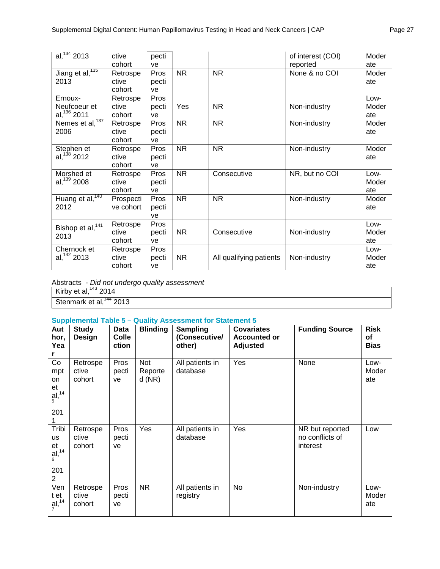| al, $134$ 2013                            | ctive<br>cohort             | pecti<br>ve                |           |                         | of interest (COI)<br>reported | Moder<br>ate         |
|-------------------------------------------|-----------------------------|----------------------------|-----------|-------------------------|-------------------------------|----------------------|
| Jiang et al, <sup>135</sup><br>2013       | Retrospe<br>ctive<br>cohort | <b>Pros</b><br>pecti<br>ve | <b>NR</b> | <b>NR</b>               | None & no COI                 | Moder<br>ate         |
| Ernoux-<br>Neufcoeur et<br>al, $136$ 2011 | Retrospe<br>ctive<br>cohort | Pros<br>pecti<br>ve        | Yes       | <b>NR</b>               | Non-industry                  | Low-<br>Moder<br>ate |
| Nemes et al, <sup>137</sup><br>2006       | Retrospe<br>ctive<br>cohort | <b>Pros</b><br>pecti<br>ve | <b>NR</b> | <b>NR</b>               | Non-industry                  | Moder<br>ate         |
| Stephen et<br>al, $138$ 2012              | Retrospe<br>ctive<br>cohort | Pros<br>pecti<br>ve        | <b>NR</b> | <b>NR</b>               | Non-industry                  | Moder<br>ate         |
| Morshed et<br>al, $139$ 2008              | Retrospe<br>ctive<br>cohort | Pros<br>pecti<br>ve        | <b>NR</b> | Consecutive             | NR, but no COI                | Low-<br>Moder<br>ate |
| Huang et al, <sup>140</sup><br>2012       | Prospecti<br>ve cohort      | Pros<br>pecti<br>ve        | <b>NR</b> | <b>NR</b>               | Non-industry                  | Moder<br>ate         |
| Bishop et al, <sup>141</sup><br>2013      | Retrospe<br>ctive<br>cohort | Pros<br>pecti<br>ve        | <b>NR</b> | Consecutive             | Non-industry                  | Low-<br>Moder<br>ate |
| Chernock et<br>al, $142$ 2013             | Retrospe<br>ctive<br>cohort | Pros<br>pecti<br>ve        | <b>NR</b> | All qualifying patients | Non-industry                  | Low-<br>Moder<br>ate |

Abstracts - *Did not undergo quality assessment*

Kirby et al, $^{143}$  2014

Stenmark et al,<sup>144</sup> 2013

## **Supplemental Table 5 – Quality Assessment for Statement 5**

| Aut<br>hor,<br>Yea                             | <b>Study</b><br><b>Design</b> | <b>Data</b><br><b>Colle</b><br>ction | <b>Blinding</b>         | <b>Sampling</b><br>(Consecutive/<br>other) | <b>Covariates</b><br><b>Accounted or</b><br><b>Adjusted</b> | <b>Funding Source</b>                          | <b>Risk</b><br>of<br><b>Bias</b> |
|------------------------------------------------|-------------------------------|--------------------------------------|-------------------------|--------------------------------------------|-------------------------------------------------------------|------------------------------------------------|----------------------------------|
| Co<br>mpt<br>on<br>et<br>al, 14<br>201         | Retrospe<br>ctive<br>cohort   | Pros<br>pecti<br>ve                  | Not<br>Reporte<br>d(NR) | All patients in<br>database                | Yes                                                         | None                                           | Low-<br>Moder<br>ate             |
| Tribi<br><b>us</b><br>et<br>al, 14<br>201<br>2 | Retrospe<br>ctive<br>cohort   | Pros<br>pecti<br>ve                  | Yes                     | All patients in<br>database                | Yes                                                         | NR but reported<br>no conflicts of<br>interest | Low                              |
| Ven<br>t et<br>$\frac{a}{7}$ <sup>14</sup>     | Retrospe<br>ctive<br>cohort   | Pros<br>pecti<br>ve                  | <b>NR</b>               | All patients in<br>registry                | No                                                          | Non-industry                                   | Low-<br>Moder<br>ate             |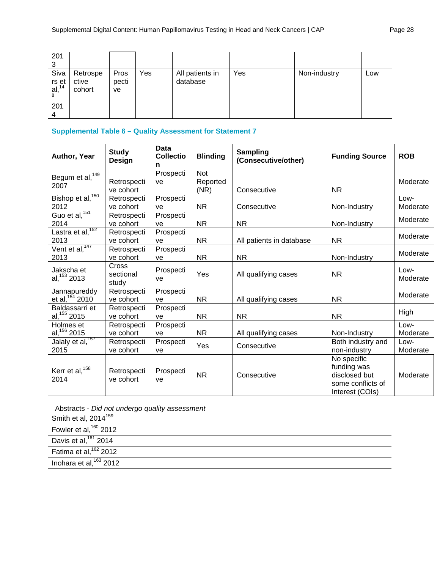| 201<br>ົ                      |                             |                     |     |                             |     |              |     |
|-------------------------------|-----------------------------|---------------------|-----|-----------------------------|-----|--------------|-----|
| Siva<br>$rs$ et al, $14$<br>8 | Retrospe<br>ctive<br>cohort | Pros<br>pecti<br>ve | Yes | All patients in<br>database | Yes | Non-industry | Low |
| 201                           |                             |                     |     |                             |     |              |     |

## **Supplemental Table 6 – Quality Assessment for Statement 7**

| Author, Year                                                          | <b>Study</b><br><b>Design</b> | <b>Data</b><br><b>Collectio</b><br>n | <b>Blinding</b>         | <b>Sampling</b><br>(Consecutive/other) | <b>Funding Source</b>                                                               | <b>ROB</b>       |
|-----------------------------------------------------------------------|-------------------------------|--------------------------------------|-------------------------|----------------------------------------|-------------------------------------------------------------------------------------|------------------|
| Begum et al, <sup>149</sup><br>2007                                   | Retrospecti<br>ve cohort      | Prospecti<br>ve                      | Not<br>Reported<br>(NR) | Consecutive                            | <b>NR</b>                                                                           | Moderate         |
| Bishop et al, <sup>150</sup><br>2012                                  | Retrospecti<br>ve cohort      | Prospecti<br>ve                      | <b>NR</b>               | Consecutive                            | Non-Industry                                                                        | Low-<br>Moderate |
| Guo et al, $151$<br>2014                                              | Retrospecti<br>ve cohort      | Prospecti<br>ve                      | <b>NR</b>               | <b>NR</b>                              | Non-Industry                                                                        | Moderate         |
| Lastra et al, <sup>152</sup><br>2013                                  | Retrospecti<br>ve cohort      | Prospecti<br>ve                      | <b>NR</b>               | All patients in database               | <b>NR</b>                                                                           | Moderate         |
| $\sqrt{\text{ent et al.}}^{147}$<br>2013                              | Retrospecti<br>ve cohort      | Prospecti<br>ve                      | <b>NR</b>               | <b>NR</b>                              | Non-Industry                                                                        | Moderate         |
| Jakscha et<br>al, 153 2013                                            | Cross<br>sectional<br>study   | Prospecti<br>ve                      | Yes                     | All qualifying cases                   | <b>NR</b>                                                                           | Low-<br>Moderate |
| Jannapureddy<br>et al, $154$ 2010                                     | Retrospecti<br>ve cohort      | Prospecti<br>ve                      | <b>NR</b>               | All qualifying cases                   | <b>NR</b>                                                                           | Moderate         |
| Baldassarri et<br>al, 155 2015                                        | Retrospecti<br>ve cohort      | Prospecti<br>ve                      | <b>NR</b>               | <b>NR</b>                              | <b>NR</b>                                                                           | High             |
| Holmes et<br>$\frac{\text{al}^{156}_{15}}{\text{Jalaly et al}^{157}}$ | Retrospecti<br>ve cohort      | Prospecti<br>ve                      | <b>NR</b>               | All qualifying cases                   | Non-Industry                                                                        | Low-<br>Moderate |
| 2015                                                                  | Retrospecti<br>ve cohort      | Prospecti<br>ve                      | Yes                     | Consecutive                            | Both industry and<br>non-industry                                                   | Low-<br>Moderate |
| Kerr et al, <sup>158</sup><br>2014                                    | Retrospecti<br>ve cohort      | Prospecti<br>ve                      | <b>NR</b>               | Consecutive                            | No specific<br>funding was<br>disclosed but<br>some conflicts of<br>Interest (COIs) | Moderate         |

Abstracts - *Did not undergo quality assessment*

| Smith et al, $2014^{159}$         |
|-----------------------------------|
| Fowler et al, $160$ 2012          |
| Davis et al, $161$ 2014           |
| Fatima et al, <sup>162</sup> 2012 |
| Inohara et al, $163$ 2012         |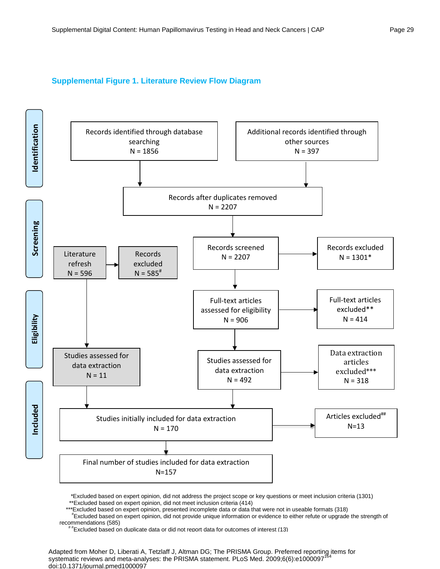## **Supplemental Figure 1. Literature Review Flow Diagram**



 \*Excluded based on expert opinion, did not address the project scope or key questions or meet inclusion criteria (1301) \*\*Excluded based on expert opinion, did not meet inclusion criteria (414)

\*\*\*Excluded based on expert opinion, presented incomplete data or data that were not in useable formats (318)

 # Excluded based on expert opinion, did not provide unique information or evidence to either refute or upgrade the strength of recommendations (585)<br>
# #Excluded based on duplicate data or did not report data for outcomes of interest (13)

Adapted from Moher D, Liberati A, Tetzlaff J, Altman DG; The PRISMA Group. Preferred reporting items for systematic reviews and meta-analyses: the PRISMA statement. PLoS Med. 2009;6(6):e1000097<sup>164</sup> doi:10.1371/journal.pmed1000097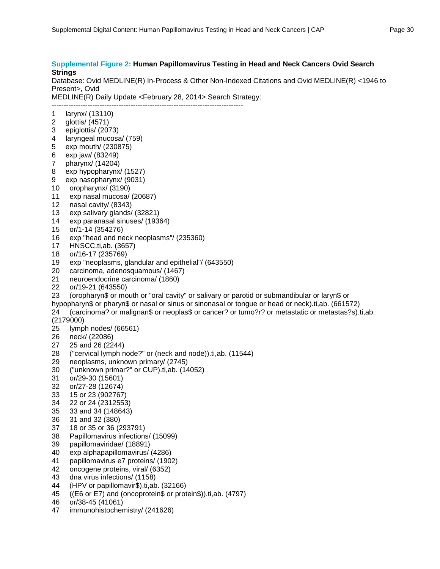#### **Supplemental Figure 2: Human Papillomavirus Testing in Head and Neck Cancers Ovid Search Strings**

Database: Ovid MEDLINE(R) In-Process & Other Non-Indexed Citations and Ovid MEDLINE(R) <1946 to Present>, Ovid

MEDLINE(R) Daily Update <February 28, 2014> Search Strategy: --------------------------------------------------------------------------------

- 1 larynx/ (13110)
- 2 glottis/ (4571)
- 3 epiglottis/ (2073)
- 4 laryngeal mucosa/ (759)
- 5 exp mouth/ (230875)
- 6 exp jaw/ (83249)
- 7 pharynx/ (14204)
- 8 exp hypopharynx/ (1527)
- 9 exp nasopharynx/ (9031)
- 10 oropharynx/ (3190)
- 11 exp nasal mucosa/ (20687)
- 12 nasal cavity/ (8343)
- 13 exp salivary glands/ (32821)
- 14 exp paranasal sinuses/ (19364)
- 15 or/1-14 (354276)
- 16 exp "head and neck neoplasms"/ (235360)
- 17 HNSCC.ti,ab. (3657)
- 18 or/16-17 (235769)
- 19 exp "neoplasms, glandular and epithelial"/ (643550)
- 20 carcinoma, adenosquamous/ (1467)
- 21 neuroendocrine carcinoma/ (1860)
- 22 or/19-21 (643550)
- 23 (oropharyn\$ or mouth or "oral cavity" or salivary or parotid or submandibular or laryn\$ or
- hypopharyn\$ or pharyn\$ or nasal or sinus or sinonasal or tongue or head or neck).ti,ab. (661572)
- 24 (carcinoma? or malignan\$ or neoplas\$ or cancer? or tumo?r? or metastatic or metastas?s).ti,ab. (2179000)
- 25 lymph nodes/ (66561)
- 26 neck/ (22086)
- 27 25 and 26 (2244)
- 28 ("cervical lymph node?" or (neck and node)).ti,ab. (11544)
- 29 neoplasms, unknown primary/ (2745)
- 30 ("unknown primar?" or CUP).ti,ab. (14052)
- 31 or/29-30 (15601)
- 32 or/27-28 (12674)
- 33 15 or 23 (902767)
- 34 22 or 24 (2312553)
- 35 33 and 34 (148643)
- 
- 36 31 and 32 (380) 37 18 or 35 or 36 (293791)
- 38 Papillomavirus infections/ (15099)
- 39 papillomaviridae/ (18891)
- 40 exp alphapapillomavirus/ (4286)
- 41 papillomavirus e7 proteins/ (1902)
- 42 oncogene proteins, viral/ (6352)
- 43 dna virus infections/ (1158)
- 
- 44 (HPV or papillomavir\$).ti,ab. (32166)<br>45 ((E6 or E7) and (oncoprotein\$ or prot ((E6 or E7) and (oncoprotein\$ or protein\$)).ti,ab. (4797)
- 46 or/38-45 (41061)
- 47 immunohistochemistry/ (241626)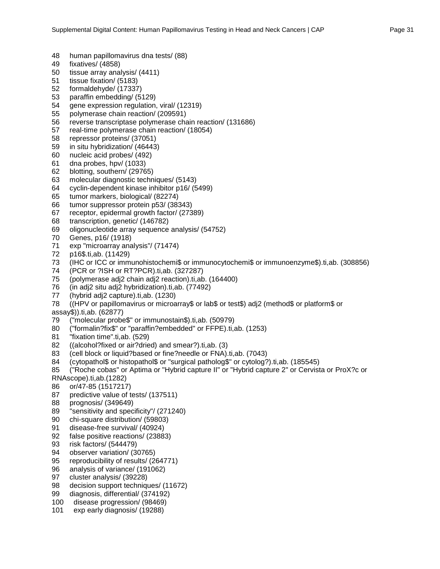- 48 human papillomavirus dna tests/ (88)
- 49 fixatives/ (4858)
- tissue array analysis/ (4411)
- 51 tissue fixation/ (5183)
- 52 formaldehyde/ (17337)
- 53 paraffin embedding/ (5129)
- 54 gene expression regulation, viral/ (12319)
- 55 polymerase chain reaction/ (209591)
- 56 reverse transcriptase polymerase chain reaction/ (131686)
- 57 real-time polymerase chain reaction/ (18054)
- 58 repressor proteins/ (37051)
- 59 in situ hybridization/ (46443)
- 60 nucleic acid probes/ (492)
- 61 dna probes, hpv/ (1033)
- 62 blotting, southern/ (29765)
- 63 molecular diagnostic techniques/ (5143)
- 64 cyclin-dependent kinase inhibitor p16/ (5499)
- 65 tumor markers, biological/ (82274)
- 66 tumor suppressor protein p53/ (38343)
- 67 receptor, epidermal growth factor/ (27389)
- 68 transcription, genetic/ (146782)
- 69 oligonucleotide array sequence analysis/ (54752)
- 70 Genes, p16/ (1918)
- 71 exp "microarray analysis"/ (71474)
- 72 p16\$.ti,ab. (11429)
- 73 (IHC or ICC or immunohistochemi\$ or immunocytochemi\$ or immunoenzyme\$).ti,ab. (308856)
- 74 (PCR or ?ISH or RT?PCR).ti,ab. (327287)
- 75 (polymerase adj2 chain adj2 reaction).ti,ab. (164400)
- 76 (in adj2 situ adj2 hybridization).ti,ab. (77492)
- 77 (hybrid adj2 capture).ti,ab. (1230)
- 78 ((HPV or papillomavirus or microarray\$ or lab\$ or test\$) adj2 (method\$ or platform\$ or

assay\$)).ti,ab. (62877)

- 79 ("molecular probe\$" or immunostain\$).ti,ab. (50979)
- 80 ("formalin?fix\$" or "paraffin?embedded" or FFPE).ti,ab. (1253)
- 81 "fixation time".ti,ab. (529)
- 82 ((alcohol?fixed or air?dried) and smear?).ti,ab. (3)
- 83 (cell block or liquid?based or fine?needle or FNA).ti,ab. (7043)
- 84 (cytopathol\$ or histopathol\$ or "surgical patholog\$" or cytolog?).ti,ab. (185545)
- 85 ("Roche cobas" or Aptima or "Hybrid capture II" or "Hybrid capture 2" or Cervista or ProX?c or RNAscope).ti,ab.(1282)
- 
- 86 or/47-85 (1517217) predictive value of tests/ (137511)
- 88 prognosis/ (349649)
- 89 "sensitivity and specificity"/ (271240)
- 90 chi-square distribution/ (59803)
- 91 disease-free survival/ (40924)
- 92 false positive reactions/ (23883)
- 93 risk factors/ (544479)
- 94 observer variation/ (30765)
- 95 reproducibility of results/ (264771)
- 96 analysis of variance/ (191062)
- 97 cluster analysis/ (39228)
- 98 decision support techniques/ (11672)<br>99 diagnosis, differential/ (374192)
- diagnosis, differential/ (374192)
- 100 disease progression/ (98469)
- 101 exp early diagnosis/ (19288)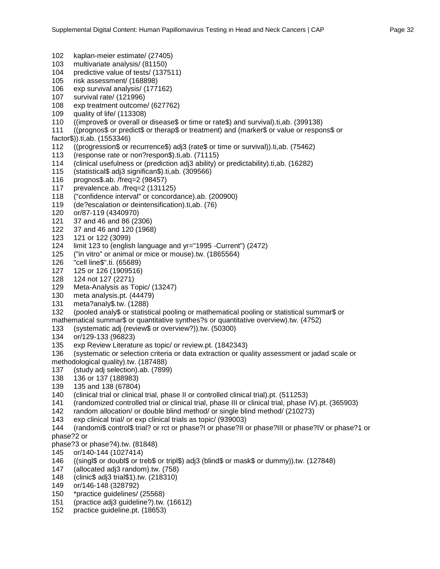- 102 kaplan-meier estimate/ (27405)
- 103 multivariate analysis/ (81150)
- 104 predictive value of tests/ (137511)
- 105 risk assessment/ (168898)
- 106 exp survival analysis/ (177162)
- 107 survival rate/ (121996)
- 108 exp treatment outcome/ (627762)
- 109 quality of life/ (113308)
- 110 ((improve\$ or overall or disease\$ or time or rate\$) and survival).ti,ab. (399138)
- 111 ((prognos\$ or predict\$ or therap\$ or treatment) and (marker\$ or value or respons\$ or
- factor\$)).ti,ab. (1553346)
- 112 ((progression\$ or recurrence\$) adj3 (rate\$ or time or survival)).ti,ab. (75462)
- 113 (response rate or non?respon\$).ti,ab. (71115)
- 114 (clinical usefulness or (prediction adj3 ability) or predictability).ti,ab. (16282)
- 115 (statistical\$ adj3 significan\$).ti,ab. (309566)
- 116 prognos\$.ab. /freq=2 (98457)
- 117 prevalence.ab. /freq=2 (131125)
- 118 ("confidence interval" or concordance).ab. (200900)
- 119 (de?escalation or deintensification).ti,ab. (76)
- 120 or/87-119 (4340970)
- 37 and 46 and 86 (2306)
- 122 37 and 46 and 120 (1968)
- 123 121 or 122 (3099)
- 124 limit 123 to (english language and yr="1995 -Current") (2472)
- 125 ("in vitro" or animal or mice or mouse).tw. (1865564)
- 126 "cell line\$".ti. (65689)
- 127 125 or 126 (1909516)
- 128 124 not 127 (2271)
- 129 Meta-Analysis as Topic/ (13247)
- 130 meta analysis.pt. (44479)
- meta?analy\$.tw. (1288)
- 132 (pooled analy\$ or statistical pooling or mathematical pooling or statistical summar\$ or mathematical summar\$ or quantitative synthes?s or quantitative overview).tw. (4752)
- 133 (systematic adj (review\$ or overview?)).tw. (50300)
- 134 or/129-133 (96823)
- 135 exp Review Literature as topic/ or review.pt. (1842343)
- 136 (systematic or selection criteria or data extraction or quality assessment or jadad scale or methodological quality).tw. (187488)
- 137 (study adj selection).ab. (7899)
- 138 136 or 137 (188983)
- 
- 139 135 and 138 (67804)<br>140 (clinical trial or clinica 140 (clinical trial or clinical trial, phase II or controlled clinical trial).pt. (511253)
- 141 (randomized controlled trial or clinical trial, phase III or clinical trial, phase IV).pt. (365903)
- 142 random allocation/ or double blind method/ or single blind method/ (210273)
- 143 exp clinical trial/ or exp clinical trials as topic/ (939003)
- 144 (randomi\$ control\$ trial? or rct or phase?I or phase?II or phase?III or phase?IV or phase?1 or phase?2 or
- phase?3 or phase?4).tw. (81848)
- 145 or/140-144 (1027414)
- 146 ((singl\$ or doubl\$ or treb\$ or tripl\$) adj3 (blind\$ or mask\$ or dummy)).tw. (127848)
- 147 (allocated adj3 random).tw. (758)
- 148 (clinic\$ adj3 trial\$1).tw. (218310)
- 149 or/146-148 (328792)
- \*practice guidelines/ (25568)
- 151 (practice adj3 guideline?).tw. (16612)
- 152 practice guideline.pt. (18653)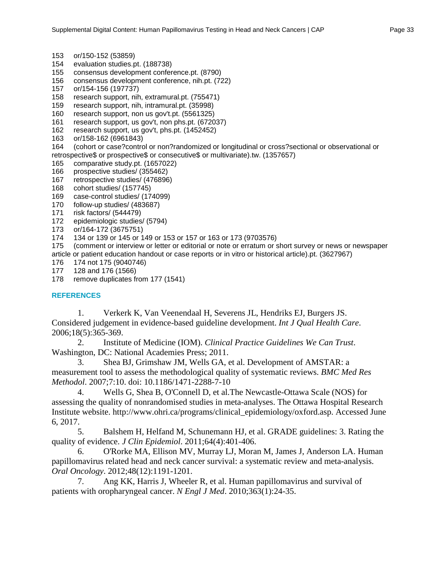- 153 or/150-152 (53859)
- 154 evaluation studies.pt. (188738)
- 155 consensus development conference.pt. (8790)
- 156 consensus development conference, nih.pt. (722)
- 157 or/154-156 (197737)
- 158 research support, nih, extramural.pt. (755471)
- 159 research support, nih, intramural.pt. (35998)
- 160 research support, non us gov't.pt. (5561325)
- 161 research support, us gov't, non phs.pt. (672037)<br>162 research support, us gov't, phs.pt. (1452452)
- research support, us gov't, phs.pt. (1452452)
- 163 or/158-162 (6961843)

164 (cohort or case?control or non?randomized or longitudinal or cross?sectional or observational or retrospective\$ or prospective\$ or consecutive\$ or multivariate).tw. (1357657)

- 165 comparative study.pt. (1657022)
- 166 prospective studies/ (355462)
- 167 retrospective studies/ (476896)
- 168 cohort studies/ (157745)
- 169 case-control studies/ (174099)
- 170 follow-up studies/ (483687)
- 171 risk factors/ (544479)<br>172 epidemiologic studies
- epidemiologic studies/ (5794)
- 173 or/164-172 (3675751)
- 174 134 or 139 or 145 or 149 or 153 or 157 or 163 or 173 (9703576)

175 (comment or interview or letter or editorial or note or erratum or short survey or news or newspaper article or patient education handout or case reports or in vitro or historical article).pt. (3627967)

176 174 not 175 (9040746)

177 128 and 176 (1566)

178 remove duplicates from 177 (1541)

## **REFERENCES**

1. Verkerk K, Van Veenendaal H, Severens JL, Hendriks EJ, Burgers JS. Considered judgement in evidence-based guideline development. *Int J Qual Health Care*. 2006;18(5):365-369.

2. Institute of Medicine (IOM). *Clinical Practice Guidelines We Can Trust*. Washington, DC: National Academies Press; 2011.

3. Shea BJ, Grimshaw JM, Wells GA, et al. Development of AMSTAR: a measurement tool to assess the methodological quality of systematic reviews. *BMC Med Res Methodol*. 2007;7:10. doi: 10.1186/1471-2288-7-10

4. Wells G, Shea B, O'Connell D, et al.The Newcastle-Ottawa Scale (NOS) for assessing the quality of nonrandomised studies in meta-analyses. The Ottawa Hospital Research Institute website. http://www.ohri.ca/programs/clinical\_epidemiology/oxford.asp. Accessed June 6, 2017.

5. Balshem H, Helfand M, Schunemann HJ, et al. GRADE guidelines: 3. Rating the quality of evidence. *J Clin Epidemiol*. 2011;64(4):401-406.

6. O'Rorke MA, Ellison MV, Murray LJ, Moran M, James J, Anderson LA. Human papillomavirus related head and neck cancer survival: a systematic review and meta-analysis. *Oral Oncology*. 2012;48(12):1191-1201.

7. Ang KK, Harris J, Wheeler R, et al. Human papillomavirus and survival of patients with oropharyngeal cancer. *N Engl J Med*. 2010;363(1):24-35.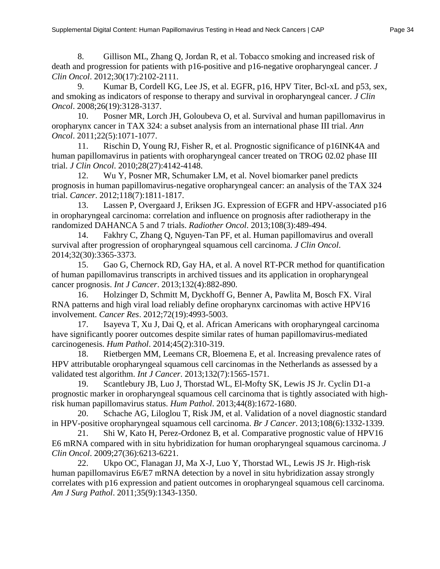8. Gillison ML, Zhang Q, Jordan R, et al. Tobacco smoking and increased risk of death and progression for patients with p16-positive and p16-negative oropharyngeal cancer. *J Clin Oncol*. 2012;30(17):2102-2111.

9. Kumar B, Cordell KG, Lee JS, et al. EGFR, p16, HPV Titer, Bcl-xL and p53, sex, and smoking as indicators of response to therapy and survival in oropharyngeal cancer. *J Clin Oncol*. 2008;26(19):3128-3137.

10. Posner MR, Lorch JH, Goloubeva O, et al. Survival and human papillomavirus in oropharynx cancer in TAX 324: a subset analysis from an international phase III trial. *Ann Oncol*. 2011;22(5):1071-1077.

11. Rischin D, Young RJ, Fisher R, et al. Prognostic significance of p16INK4A and human papillomavirus in patients with oropharyngeal cancer treated on TROG 02.02 phase III trial. *J Clin Oncol*. 2010;28(27):4142-4148.

12. Wu Y, Posner MR, Schumaker LM, et al. Novel biomarker panel predicts prognosis in human papillomavirus-negative oropharyngeal cancer: an analysis of the TAX 324 trial. *Cancer*. 2012;118(7):1811-1817.

13. Lassen P, Overgaard J, Eriksen JG. Expression of EGFR and HPV-associated p16 in oropharyngeal carcinoma: correlation and influence on prognosis after radiotherapy in the randomized DAHANCA 5 and 7 trials. *Radiother Oncol*. 2013;108(3):489-494.

14. Fakhry C, Zhang Q, Nguyen-Tan PF, et al. Human papillomavirus and overall survival after progression of oropharyngeal squamous cell carcinoma. *J Clin Oncol*. 2014;32(30):3365-3373.

15. Gao G, Chernock RD, Gay HA, et al. A novel RT-PCR method for quantification of human papillomavirus transcripts in archived tissues and its application in oropharyngeal cancer prognosis. *Int J Cancer*. 2013;132(4):882-890.

16. Holzinger D, Schmitt M, Dyckhoff G, Benner A, Pawlita M, Bosch FX. Viral RNA patterns and high viral load reliably define oropharynx carcinomas with active HPV16 involvement. *Cancer Res*. 2012;72(19):4993-5003.

17. Isayeva T, Xu J, Dai Q, et al. African Americans with oropharyngeal carcinoma have significantly poorer outcomes despite similar rates of human papillomavirus-mediated carcinogenesis. *Hum Pathol*. 2014;45(2):310-319.

18. Rietbergen MM, Leemans CR, Bloemena E, et al. Increasing prevalence rates of HPV attributable oropharyngeal squamous cell carcinomas in the Netherlands as assessed by a validated test algorithm. *Int J Cancer*. 2013;132(7):1565-1571.

19. Scantlebury JB, Luo J, Thorstad WL, El-Mofty SK, Lewis JS Jr. Cyclin D1-a prognostic marker in oropharyngeal squamous cell carcinoma that is tightly associated with highrisk human papillomavirus status. *Hum Pathol*. 2013;44(8):1672-1680.

20. Schache AG, Liloglou T, Risk JM, et al. Validation of a novel diagnostic standard in HPV-positive oropharyngeal squamous cell carcinoma. *Br J Cancer*. 2013;108(6):1332-1339.

21. Shi W, Kato H, Perez-Ordonez B, et al. Comparative prognostic value of HPV16 E6 mRNA compared with in situ hybridization for human oropharyngeal squamous carcinoma. *J Clin Oncol*. 2009;27(36):6213-6221.

22. Ukpo OC, Flanagan JJ, Ma X-J, Luo Y, Thorstad WL, Lewis JS Jr. High-risk human papillomavirus E6/E7 mRNA detection by a novel in situ hybridization assay strongly correlates with p16 expression and patient outcomes in oropharyngeal squamous cell carcinoma. *Am J Surg Pathol*. 2011;35(9):1343-1350.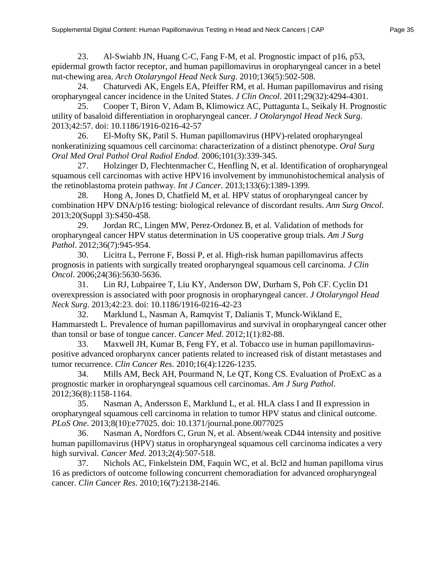23. Al-Swiahb JN, Huang C-C, Fang F-M, et al. Prognostic impact of p16, p53, epidermal growth factor receptor, and human papillomavirus in oropharyngeal cancer in a betel nut-chewing area. *Arch Otolaryngol Head Neck Surg*. 2010;136(5):502-508.

24. Chaturvedi AK, Engels EA, Pfeiffer RM, et al. Human papillomavirus and rising oropharyngeal cancer incidence in the United States. *J Clin Oncol*. 2011;29(32):4294-4301.

25. Cooper T, Biron V, Adam B, Klimowicz AC, Puttagunta L, Seikaly H. Prognostic utility of basaloid differentiation in oropharyngeal cancer. *J Otolaryngol Head Neck Surg*. 2013;42:57. doi: 10.1186/1916-0216-42-57

26. El-Mofty SK, Patil S. Human papillomavirus (HPV)-related oropharyngeal nonkeratinizing squamous cell carcinoma: characterization of a distinct phenotype. *Oral Surg Oral Med Oral Pathol Oral Radiol Endod*. 2006;101(3):339-345.

27. Holzinger D, Flechtenmacher C, Henfling N, et al. Identification of oropharyngeal squamous cell carcinomas with active HPV16 involvement by immunohistochemical analysis of the retinoblastoma protein pathway. *Int J Cancer*. 2013;133(6):1389-1399.

28. Hong A, Jones D, Chatfield M, et al. HPV status of oropharyngeal cancer by combination HPV DNA/p16 testing: biological relevance of discordant results. *Ann Surg Oncol*. 2013;20(Suppl 3):S450-458.

29. Jordan RC, Lingen MW, Perez-Ordonez B, et al. Validation of methods for oropharyngeal cancer HPV status determination in US cooperative group trials. *Am J Surg Pathol*. 2012;36(7):945-954.

30. Licitra L, Perrone F, Bossi P, et al. High-risk human papillomavirus affects prognosis in patients with surgically treated oropharyngeal squamous cell carcinoma. *J Clin Oncol*. 2006;24(36):5630-5636.

31. Lin RJ, Lubpairee T, Liu KY, Anderson DW, Durham S, Poh CF. Cyclin D1 overexpression is associated with poor prognosis in oropharyngeal cancer. *J Otolaryngol Head Neck Surg*. 2013;42:23. doi: 10.1186/1916-0216-42-23

32. Marklund L, Nasman A, Ramqvist T, Dalianis T, Munck-Wikland E, Hammarstedt L. Prevalence of human papillomavirus and survival in oropharyngeal cancer other than tonsil or base of tongue cancer. *Cancer Med*. 2012;1(1):82-88.

33. Maxwell JH, Kumar B, Feng FY, et al. Tobacco use in human papillomaviruspositive advanced oropharynx cancer patients related to increased risk of distant metastases and tumor recurrence. *Clin Cancer Res*. 2010;16(4):1226-1235.

34. Mills AM, Beck AH, Pourmand N, Le QT, Kong CS. Evaluation of ProExC as a prognostic marker in oropharyngeal squamous cell carcinomas. *Am J Surg Pathol*. 2012;36(8):1158-1164.

35. Nasman A, Andersson E, Marklund L, et al. HLA class I and II expression in oropharyngeal squamous cell carcinoma in relation to tumor HPV status and clinical outcome. *PLoS One*. 2013;8(10):e77025. doi: 10.1371/journal.pone.0077025

36. Nasman A, Nordfors C, Grun N, et al. Absent/weak CD44 intensity and positive human papillomavirus (HPV) status in oropharyngeal squamous cell carcinoma indicates a very high survival. *Cancer Med*. 2013;2(4):507-518.

37. Nichols AC, Finkelstein DM, Faquin WC, et al. Bcl2 and human papilloma virus 16 as predictors of outcome following concurrent chemoradiation for advanced oropharyngeal cancer. *Clin Cancer Res*. 2010;16(7):2138-2146.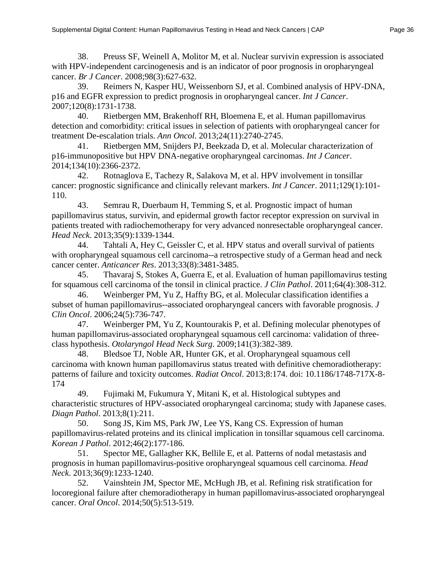39. Reimers N, Kasper HU, Weissenborn SJ, et al. Combined analysis of HPV-DNA, p16 and EGFR expression to predict prognosis in oropharyngeal cancer. *Int J Cancer*. 2007;120(8):1731-1738.

40. Rietbergen MM, Brakenhoff RH, Bloemena E, et al. Human papillomavirus detection and comorbidity: critical issues in selection of patients with oropharyngeal cancer for treatment De-escalation trials. *Ann Oncol*. 2013;24(11):2740-2745.

41. Rietbergen MM, Snijders PJ, Beekzada D, et al. Molecular characterization of p16-immunopositive but HPV DNA-negative oropharyngeal carcinomas. *Int J Cancer*. 2014;134(10):2366-2372.

42. Rotnaglova E, Tachezy R, Salakova M, et al. HPV involvement in tonsillar cancer: prognostic significance and clinically relevant markers. *Int J Cancer*. 2011;129(1):101- 110.

43. Semrau R, Duerbaum H, Temming S, et al. Prognostic impact of human papillomavirus status, survivin, and epidermal growth factor receptor expression on survival in patients treated with radiochemotherapy for very advanced nonresectable oropharyngeal cancer. *Head Neck*. 2013;35(9):1339-1344.

44. Tahtali A, Hey C, Geissler C, et al. HPV status and overall survival of patients with oropharyngeal squamous cell carcinoma--a retrospective study of a German head and neck cancer center. *Anticancer Res*. 2013;33(8):3481-3485.

45. Thavaraj S, Stokes A, Guerra E, et al. Evaluation of human papillomavirus testing for squamous cell carcinoma of the tonsil in clinical practice. *J Clin Pathol*. 2011;64(4):308-312.

46. Weinberger PM, Yu Z, Haffty BG, et al. Molecular classification identifies a subset of human papillomavirus--associated oropharyngeal cancers with favorable prognosis. *J Clin Oncol*. 2006;24(5):736-747.

47. Weinberger PM, Yu Z, Kountourakis P, et al. Defining molecular phenotypes of human papillomavirus-associated oropharyngeal squamous cell carcinoma: validation of threeclass hypothesis. *Otolaryngol Head Neck Surg*. 2009;141(3):382-389.

48. Bledsoe TJ, Noble AR, Hunter GK, et al. Oropharyngeal squamous cell carcinoma with known human papillomavirus status treated with definitive chemoradiotherapy: patterns of failure and toxicity outcomes. *Radiat Oncol*. 2013;8:174. doi: 10.1186/1748-717X-8- 174

49. Fujimaki M, Fukumura Y, Mitani K, et al. Histological subtypes and characteristic structures of HPV-associated oropharyngeal carcinoma; study with Japanese cases. *Diagn Pathol*. 2013;8(1):211.

50. Song JS, Kim MS, Park JW, Lee YS, Kang CS. Expression of human papillomavirus-related proteins and its clinical implication in tonsillar squamous cell carcinoma. *Korean J Pathol*. 2012;46(2):177-186.

51. Spector ME, Gallagher KK, Bellile E, et al. Patterns of nodal metastasis and prognosis in human papillomavirus-positive oropharyngeal squamous cell carcinoma. *Head Neck*. 2013;36(9):1233-1240.

52. Vainshtein JM, Spector ME, McHugh JB, et al. Refining risk stratification for locoregional failure after chemoradiotherapy in human papillomavirus-associated oropharyngeal cancer. *Oral Oncol*. 2014;50(5):513-519.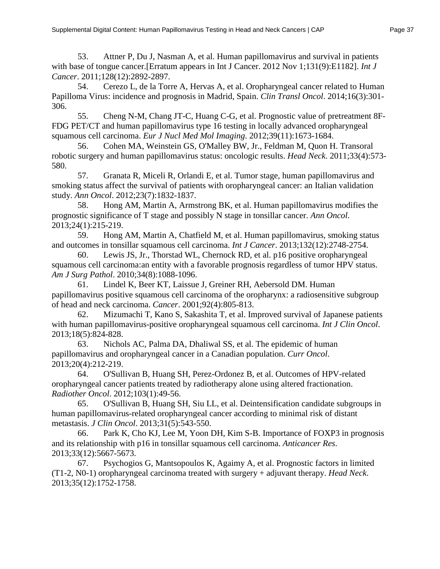53. Attner P, Du J, Nasman A, et al. Human papillomavirus and survival in patients with base of tongue cancer.[Erratum appears in Int J Cancer. 2012 Nov 1;131(9):E1182]. *Int J Cancer*. 2011;128(12):2892-2897.

54. Cerezo L, de la Torre A, Hervas A, et al. Oropharyngeal cancer related to Human Papilloma Virus: incidence and prognosis in Madrid, Spain. *Clin Transl Oncol*. 2014;16(3):301- 306.

55. Cheng N-M, Chang JT-C, Huang C-G, et al. Prognostic value of pretreatment 8F-FDG PET/CT and human papillomavirus type 16 testing in locally advanced oropharyngeal squamous cell carcinoma. *Eur J Nucl Med Mol Imaging*. 2012;39(11):1673-1684.

56. Cohen MA, Weinstein GS, O'Malley BW, Jr., Feldman M, Quon H. Transoral robotic surgery and human papillomavirus status: oncologic results. *Head Neck*. 2011;33(4):573- 580.

57. Granata R, Miceli R, Orlandi E, et al. Tumor stage, human papillomavirus and smoking status affect the survival of patients with oropharyngeal cancer: an Italian validation study. *Ann Oncol*. 2012;23(7):1832-1837.

58. Hong AM, Martin A, Armstrong BK, et al. Human papillomavirus modifies the prognostic significance of T stage and possibly N stage in tonsillar cancer. *Ann Oncol*. 2013;24(1):215-219.

59. Hong AM, Martin A, Chatfield M, et al. Human papillomavirus, smoking status and outcomes in tonsillar squamous cell carcinoma. *Int J Cancer*. 2013;132(12):2748-2754.

60. Lewis JS, Jr., Thorstad WL, Chernock RD, et al. p16 positive oropharyngeal squamous cell carcinoma:an entity with a favorable prognosis regardless of tumor HPV status. *Am J Surg Pathol*. 2010;34(8):1088-1096.

61. Lindel K, Beer KT, Laissue J, Greiner RH, Aebersold DM. Human papillomavirus positive squamous cell carcinoma of the oropharynx: a radiosensitive subgroup of head and neck carcinoma. *Cancer*. 2001;92(4):805-813.

62. Mizumachi T, Kano S, Sakashita T, et al. Improved survival of Japanese patients with human papillomavirus-positive oropharyngeal squamous cell carcinoma. *Int J Clin Oncol*. 2013;18(5):824-828.

63. Nichols AC, Palma DA, Dhaliwal SS, et al. The epidemic of human papillomavirus and oropharyngeal cancer in a Canadian population. *Curr Oncol*. 2013;20(4):212-219.

64. O'Sullivan B, Huang SH, Perez-Ordonez B, et al. Outcomes of HPV-related oropharyngeal cancer patients treated by radiotherapy alone using altered fractionation. *Radiother Oncol*. 2012;103(1):49-56.

65. O'Sullivan B, Huang SH, Siu LL, et al. Deintensification candidate subgroups in human papillomavirus-related oropharyngeal cancer according to minimal risk of distant metastasis. *J Clin Oncol*. 2013;31(5):543-550.

66. Park K, Cho KJ, Lee M, Yoon DH, Kim S-B. Importance of FOXP3 in prognosis and its relationship with p16 in tonsillar squamous cell carcinoma. *Anticancer Res*. 2013;33(12):5667-5673.

67. Psychogios G, Mantsopoulos K, Agaimy A, et al. Prognostic factors in limited (T1-2, N0-1) oropharyngeal carcinoma treated with surgery + adjuvant therapy. *Head Neck*. 2013;35(12):1752-1758.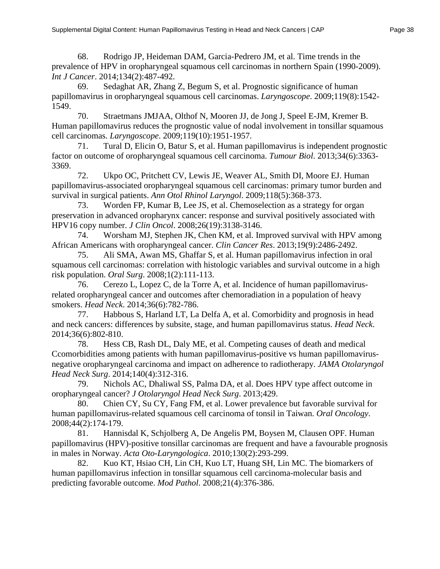68. Rodrigo JP, Heideman DAM, Garcia-Pedrero JM, et al. Time trends in the prevalence of HPV in oropharyngeal squamous cell carcinomas in northern Spain (1990-2009). *Int J Cancer*. 2014;134(2):487-492.

69. Sedaghat AR, Zhang Z, Begum S, et al. Prognostic significance of human papillomavirus in oropharyngeal squamous cell carcinomas. *Laryngoscope*. 2009;119(8):1542- 1549.

70. Straetmans JMJAA, Olthof N, Mooren JJ, de Jong J, Speel E-JM, Kremer B. Human papillomavirus reduces the prognostic value of nodal involvement in tonsillar squamous cell carcinomas. *Laryngoscope*. 2009;119(10):1951-1957.

71. Tural D, Elicin O, Batur S, et al. Human papillomavirus is independent prognostic factor on outcome of oropharyngeal squamous cell carcinoma. *Tumour Biol*. 2013;34(6):3363- 3369.

72. Ukpo OC, Pritchett CV, Lewis JE, Weaver AL, Smith DI, Moore EJ. Human papillomavirus-associated oropharyngeal squamous cell carcinomas: primary tumor burden and survival in surgical patients. *Ann Otol Rhinol Laryngol*. 2009;118(5):368-373.

73. Worden FP, Kumar B, Lee JS, et al. Chemoselection as a strategy for organ preservation in advanced oropharynx cancer: response and survival positively associated with HPV16 copy number. *J Clin Oncol*. 2008;26(19):3138-3146.

74. Worsham MJ, Stephen JK, Chen KM, et al. Improved survival with HPV among African Americans with oropharyngeal cancer. *Clin Cancer Res*. 2013;19(9):2486-2492.

75. Ali SMA, Awan MS, Ghaffar S, et al. Human papillomavirus infection in oral squamous cell carcinomas: correlation with histologic variables and survival outcome in a high risk population. *Oral Surg*. 2008;1(2):111-113.

76. Cerezo L, Lopez C, de la Torre A, et al. Incidence of human papillomavirusrelated oropharyngeal cancer and outcomes after chemoradiation in a population of heavy smokers. *Head Neck*. 2014;36(6):782-786.

77. Habbous S, Harland LT, La Delfa A, et al. Comorbidity and prognosis in head and neck cancers: differences by subsite, stage, and human papillomavirus status. *Head Neck*. 2014;36(6):802-810.

78. Hess CB, Rash DL, Daly ME, et al. Competing causes of death and medical Ccomorbidities among patients with human papillomavirus-positive vs human papillomavirusnegative oropharyngeal carcinoma and impact on adherence to radiotherapy. *JAMA Otolaryngol Head Neck Surg*. 2014;140(4):312-316.

79. Nichols AC, Dhaliwal SS, Palma DA, et al. Does HPV type affect outcome in oropharyngeal cancer? *J Otolaryngol Head Neck Surg*. 2013;429.

80. Chien CY, Su CY, Fang FM, et al. Lower prevalence but favorable survival for human papillomavirus-related squamous cell carcinoma of tonsil in Taiwan. *Oral Oncology*. 2008;44(2):174-179.

81. Hannisdal K, Schjolberg A, De Angelis PM, Boysen M, Clausen OPF. Human papillomavirus (HPV)-positive tonsillar carcinomas are frequent and have a favourable prognosis in males in Norway. *Acta Oto-Laryngologica*. 2010;130(2):293-299.

82. Kuo KT, Hsiao CH, Lin CH, Kuo LT, Huang SH, Lin MC. The biomarkers of human papillomavirus infection in tonsillar squamous cell carcinoma-molecular basis and predicting favorable outcome. *Mod Pathol*. 2008;21(4):376-386.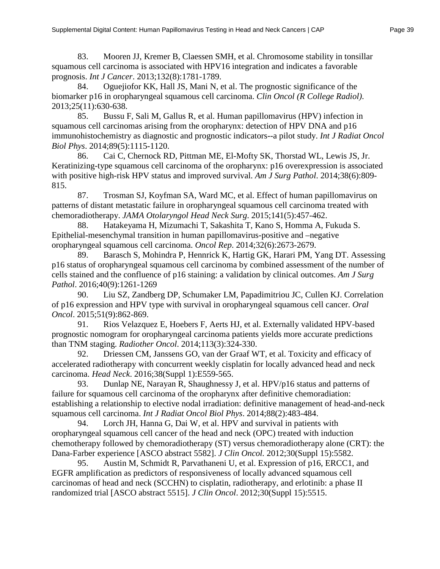83. Mooren JJ, Kremer B, Claessen SMH, et al. Chromosome stability in tonsillar squamous cell carcinoma is associated with HPV16 integration and indicates a favorable prognosis. *Int J Cancer*. 2013;132(8):1781-1789.

84. Oguejiofor KK, Hall JS, Mani N, et al. The prognostic significance of the biomarker p16 in oropharyngeal squamous cell carcinoma. *Clin Oncol (R College Radiol)*. 2013;25(11):630-638.

85. Bussu F, Sali M, Gallus R, et al. Human papillomavirus (HPV) infection in squamous cell carcinomas arising from the oropharynx: detection of HPV DNA and p16 immunohistochemistry as diagnostic and prognostic indicators--a pilot study. *Int J Radiat Oncol Biol Phys*. 2014;89(5):1115-1120.

86. Cai C, Chernock RD, Pittman ME, El-Mofty SK, Thorstad WL, Lewis JS, Jr. Keratinizing-type squamous cell carcinoma of the oropharynx: p16 overexpression is associated with positive high-risk HPV status and improved survival. *Am J Surg Pathol*. 2014;38(6):809- 815.

87. Trosman SJ, Koyfman SA, Ward MC, et al. Effect of human papillomavirus on patterns of distant metastatic failure in oropharyngeal squamous cell carcinoma treated with chemoradiotherapy. *JAMA Otolaryngol Head Neck Surg*. 2015;141(5):457-462.

88. Hatakeyama H, Mizumachi T, Sakashita T, Kano S, Homma A, Fukuda S. Epithelial-mesenchymal transition in human papillomavirus-positive and –negative oropharyngeal squamous cell carcinoma. *Oncol Rep*. 2014;32(6):2673-2679.

89. Barasch S, Mohindra P, Hennrick K, Hartig GK, Harari PM, Yang DT. Assessing p16 status of oropharyngeal squamous cell carcinoma by combined assessment of the number of cells stained and the confluence of p16 staining: a validation by clinical outcomes. *Am J Surg Pathol*. 2016;40(9):1261-1269

90. Liu SZ, Zandberg DP, Schumaker LM, Papadimitriou JC, Cullen KJ. Correlation of p16 expression and HPV type with survival in oropharyngeal squamous cell cancer. *Oral Oncol*. 2015;51(9):862-869.

91. Rios Velazquez E, Hoebers F, Aerts HJ, et al. Externally validated HPV-based prognostic nomogram for oropharyngeal carcinoma patients yields more accurate predictions than TNM staging. *Radiother Oncol*. 2014;113(3):324-330.

92. Driessen CM, Janssens GO, van der Graaf WT, et al. Toxicity and efficacy of accelerated radiotherapy with concurrent weekly cisplatin for locally advanced head and neck carcinoma. *Head Neck*. 2016;38(Suppl 1):E559-565.

93. Dunlap NE, Narayan R, Shaughnessy J, et al. HPV/p16 status and patterns of failure for squamous cell carcinoma of the oropharynx after definitive chemoradiation: establishing a relationship to elective nodal irradiation: definitive management of head-and-neck squamous cell carcinoma. *Int J Radiat Oncol Biol Phys*. 2014;88(2):483-484.

94. Lorch JH, Hanna G, Dai W, et al. HPV and survival in patients with oropharyngeal squamous cell cancer of the head and neck (OPC) treated with induction chemotherapy followed by chemoradiotherapy (ST) versus chemoradiotherapy alone (CRT): the Dana-Farber experience [ASCO abstract 5582]. *J Clin Oncol.* 2012;30(Suppl 15):5582.

95. Austin M, Schmidt R, Parvathaneni U, et al. Expression of p16, ERCC1, and EGFR amplification as predictors of responsiveness of locally advanced squamous cell carcinomas of head and neck (SCCHN) to cisplatin, radiotherapy, and erlotinib: a phase II randomized trial [ASCO abstract 5515]. *J Clin Oncol*. 2012;30(Suppl 15):5515.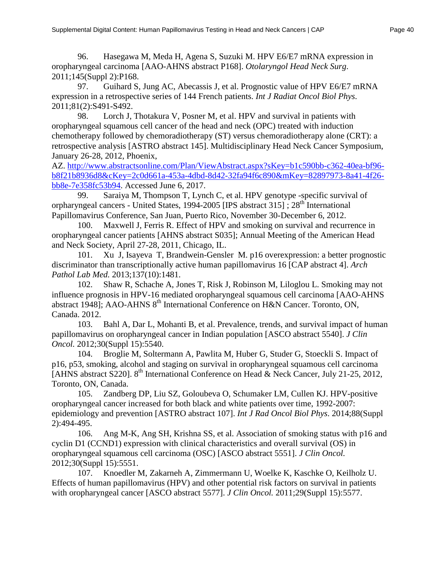96. Hasegawa M, Meda H, Agena S, Suzuki M. HPV E6/E7 mRNA expression in oropharyngeal carcinoma [AAO-AHNS abstract P168]. *Otolaryngol Head Neck Surg*. 2011;145(Suppl 2):P168.

97. Guihard S, Jung AC, Abecassis J, et al. Prognostic value of HPV E6/E7 mRNA expression in a retrospective series of 144 French patients. *Int J Radiat Oncol Biol Phys*. 2011;81(2):S491-S492.

98. Lorch J, Thotakura V, Posner M, et al. HPV and survival in patients with oropharyngeal squamous cell cancer of the head and neck (OPC) treated with induction chemotherapy followed by chemoradiotherapy (ST) versus chemoradiotherapy alone (CRT): a retrospective analysis [ASTRO abstract 145]. Multidisciplinary Head Neck Cancer Symposium, January 26-28, 2012, Phoenix,

AZ. [http://www.abstractsonline.com/Plan/ViewAbstract.aspx?sKey=b1c590bb-c362-40ea-bf96](http://www.abstractsonline.com/Plan/ViewAbstract.aspx?sKey=b1c590bb-c362-40ea-bf96-b8f21b8936d8&cKey=2c0d661a-453a-4dbd-8d42-32fa94f6c890&mKey=82897973-8a41-4f26-bb8e-7e358fc53b94) [b8f21b8936d8&cKey=2c0d661a-453a-4dbd-8d42-32fa94f6c890&mKey=82897973-8a41-4f26](http://www.abstractsonline.com/Plan/ViewAbstract.aspx?sKey=b1c590bb-c362-40ea-bf96-b8f21b8936d8&cKey=2c0d661a-453a-4dbd-8d42-32fa94f6c890&mKey=82897973-8a41-4f26-bb8e-7e358fc53b94) [bb8e-7e358fc53b94.](http://www.abstractsonline.com/Plan/ViewAbstract.aspx?sKey=b1c590bb-c362-40ea-bf96-b8f21b8936d8&cKey=2c0d661a-453a-4dbd-8d42-32fa94f6c890&mKey=82897973-8a41-4f26-bb8e-7e358fc53b94) Accessed June 6, 2017.

99. Saraiya M, Thompson T, Lynch C, et al. HPV genotype -specific survival of orpharyngeal cancers - United States, 1994-2005 [IPS abstract  $315$ ];  $28<sup>th</sup>$  International Papillomavirus Conference, San Juan, Puerto Rico, November 30-December 6, 2012.

100. Maxwell J, Ferris R. Effect of HPV and smoking on survival and recurrence in oropharyngeal cancer patients [AHNS abstract S035]; Annual Meeting of the American Head and Neck Society, April 27-28, 2011, Chicago, IL.

101. Xu J, Isayeva T, Brandwein-Gensler M. p16 overexpression: a better prognostic discriminator than transcriptionally active human papillomavirus 16 [CAP abstract 4]. *Arch Pathol Lab Med.* 2013;137(10):1481.

102. Shaw R, Schache A, Jones T, Risk J, Robinson M, Liloglou L. Smoking may not influence prognosis in HPV-16 mediated oropharyngeal squamous cell carcinoma [AAO-AHNS abstract 1948]; AAO-AHNS 8<sup>th</sup> International Conference on H&N Cancer. Toronto, ON, Canada. 2012.

103. Bahl A, Dar L, Mohanti B, et al. Prevalence, trends, and survival impact of human papillomavirus on oropharyngeal cancer in Indian population [ASCO abstract 5540]. *J Clin Oncol.* 2012;30(Suppl 15):5540.

104. Broglie M, Soltermann A, Pawlita M, Huber G, Studer G, Stoeckli S. Impact of p16, p53, smoking, alcohol and staging on survival in oropharyngeal squamous cell carcinoma [AHNS abstract S220]. 8<sup>th</sup> International Conference on Head & Neck Cancer, July 21-25, 2012, Toronto, ON, Canada.

105. Zandberg DP, Liu SZ, Goloubeva O, Schumaker LM, Cullen KJ. HPV-positive oropharyngeal cancer increased for both black and white patients over time, 1992-2007: epidemiology and prevention [ASTRO abstract 107]. *Int J Rad Oncol Biol Phys*. 2014;88(Suppl 2):494-495.

106. Ang M-K, Ang SH, Krishna SS, et al. Association of smoking status with p16 and cyclin D1 (CCND1) expression with clinical characteristics and overall survival (OS) in oropharyngeal squamous cell carcinoma (OSC) [ASCO abstract 5551]. *J Clin Oncol.* 2012;30(Suppl 15):5551.

107. Knoedler M, Zakarneh A, Zimmermann U, Woelke K, Kaschke O, Keilholz U. Effects of human papillomavirus (HPV) and other potential risk factors on survival in patients with oropharyngeal cancer [ASCO abstract 5577]. *J Clin Oncol.* 2011;29(Suppl 15):5577.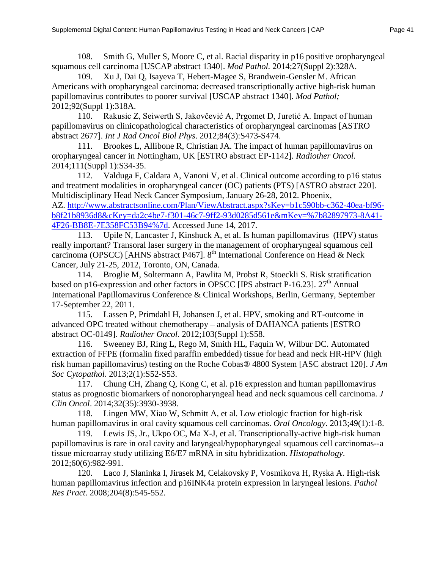108. Smith G, Muller S, Moore C, et al. Racial disparity in p16 positive oropharyngeal squamous cell carcinoma [USCAP abstract 1340]. *Mod Pathol.* 2014;27(Suppl 2):328A.

109. Xu J, Dai Q, Isayeva T, Hebert-Magee S, Brandwein-Gensler M. African Americans with oropharyngeal carcinoma: decreased transcriptionally active high-risk human papillomavirus contributes to poorer survival [USCAP abstract 1340]. *Mod Pathol;* 2012;92(Suppl 1):318A.

110. Rakusic Z, Seiwerth S, Jakovčević A, Prgomet D, Juretić A. Impact of human papillomavirus on clinicopathological characteristics of oropharyngeal carcinomas [ASTRO abstract 2677]. *Int J Rad Oncol Biol Phys*. 2012;84(3):S473-S474.

111. Brookes L, Allibone R, Christian JA. The impact of human papillomavirus on oropharyngeal cancer in Nottingham, UK [ESTRO abstract EP-1142]. *Radiother Oncol.* 2014;111(Suppl 1):S34-35.

112. Valduga F, Caldara A, Vanoni V, et al. Clinical outcome according to p16 status and treatment modalities in oropharyngeal cancer (OC) patients (PTS) [ASTRO abstract 220]. Multidisciplinary Head Neck Cancer Symposium, January 26-28, 2012. Phoenix, AZ. [http://www.abstractsonline.com/Plan/ViewAbstract.aspx?sKey=b1c590bb-c362-40ea-bf96](http://www.abstractsonline.com/Plan/ViewAbstract.aspx?sKey=b1c590bb-c362-40ea-bf96-b8f21b8936d8&cKey=da2c4be7-f301-46c7-9ff2-93d0285d561e&mKey=%7b82897973-8A41-4F26-BB8E-7E358FC53B94%7d) [b8f21b8936d8&cKey=da2c4be7-f301-46c7-9ff2-93d0285d561e&mKey=%7b82897973-8A41-](http://www.abstractsonline.com/Plan/ViewAbstract.aspx?sKey=b1c590bb-c362-40ea-bf96-b8f21b8936d8&cKey=da2c4be7-f301-46c7-9ff2-93d0285d561e&mKey=%7b82897973-8A41-4F26-BB8E-7E358FC53B94%7d) [4F26-BB8E-7E358FC53B94%7d.](http://www.abstractsonline.com/Plan/ViewAbstract.aspx?sKey=b1c590bb-c362-40ea-bf96-b8f21b8936d8&cKey=da2c4be7-f301-46c7-9ff2-93d0285d561e&mKey=%7b82897973-8A41-4F26-BB8E-7E358FC53B94%7d) Accessed June 14, 2017.

113. Upile N, Lancaster J, Kinshuck A, et al. Is human papillomavirus (HPV) status really important? Transoral laser surgery in the management of oropharyngeal squamous cell carcinoma (OPSCC) [AHNS abstract P467].  $8<sup>th</sup>$  International Conference on Head & Neck Cancer, July 21-25, 2012, Toronto, ON, Canada.

114. Broglie M, Soltermann A, Pawlita M, Probst R, Stoeckli S. Risk stratification based on p16-expression and other factors in OPSCC [IPS abstract P-16.23].  $27<sup>th</sup>$  Annual International Papillomavirus Conference & Clinical Workshops, Berlin, Germany, September 17-September 22, 2011.

115. Lassen P, Primdahl H, Johansen J, et al. HPV, smoking and RT-outcome in advanced OPC treated without chemotherapy – analysis of DAHANCA patients [ESTRO abstract OC-0149]. *Radiother Oncol.* 2012;103(Suppl 1):S58.

116. Sweeney BJ, Ring L, Rego M, Smith HL, Faquin W, Wilbur DC. Automated extraction of FFPE (formalin fixed paraffin embedded) tissue for head and neck HR-HPV (high risk human papillomavirus) testing on the Roche Cobas® 4800 System [ASC abstract 120]. *J Am Soc Cytopathol*. 2013;2(1):S52-S53.

117. Chung CH, Zhang Q, Kong C, et al. p16 expression and human papillomavirus status as prognostic biomarkers of nonoropharyngeal head and neck squamous cell carcinoma. *J Clin Oncol*. 2014;32(35):3930-3938.

118. Lingen MW, Xiao W, Schmitt A, et al. Low etiologic fraction for high-risk human papillomavirus in oral cavity squamous cell carcinomas. *Oral Oncology*. 2013;49(1):1-8.

119. Lewis JS, Jr., Ukpo OC, Ma X-J, et al. Transcriptionally-active high-risk human papillomavirus is rare in oral cavity and laryngeal/hypopharyngeal squamous cell carcinomas--a tissue microarray study utilizing E6/E7 mRNA in situ hybridization. *Histopathology*. 2012;60(6):982-991.

120. Laco J, Slaninka I, Jirasek M, Celakovsky P, Vosmikova H, Ryska A. High-risk human papillomavirus infection and p16INK4a protein expression in laryngeal lesions. *Pathol Res Pract*. 2008;204(8):545-552.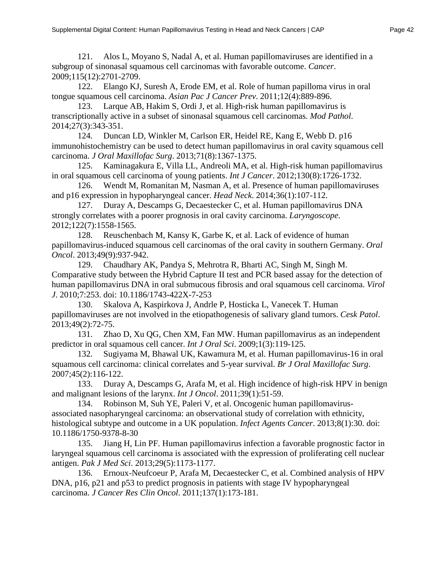121. Alos L, Moyano S, Nadal A, et al. Human papillomaviruses are identified in a subgroup of sinonasal squamous cell carcinomas with favorable outcome. *Cancer*. 2009;115(12):2701-2709.

122. Elango KJ, Suresh A, Erode EM, et al. Role of human papilloma virus in oral tongue squamous cell carcinoma. *Asian Pac J Cancer Prev*. 2011;12(4):889-896.

123. Larque AB, Hakim S, Ordi J, et al. High-risk human papillomavirus is transcriptionally active in a subset of sinonasal squamous cell carcinomas. *Mod Pathol*. 2014;27(3):343-351.

124. Duncan LD, Winkler M, Carlson ER, Heidel RE, Kang E, Webb D. p16 immunohistochemistry can be used to detect human papillomavirus in oral cavity squamous cell carcinoma. *J Oral Maxillofac Surg*. 2013;71(8):1367-1375.

125. Kaminagakura E, Villa LL, Andreoli MA, et al. High-risk human papillomavirus in oral squamous cell carcinoma of young patients. *Int J Cancer*. 2012;130(8):1726-1732.

126. Wendt M, Romanitan M, Nasman A, et al. Presence of human papillomaviruses and p16 expression in hypopharyngeal cancer. *Head Neck*. 2014;36(1):107-112.

127. Duray A, Descamps G, Decaestecker C, et al. Human papillomavirus DNA strongly correlates with a poorer prognosis in oral cavity carcinoma. *Laryngoscope*. 2012;122(7):1558-1565.

128. Reuschenbach M, Kansy K, Garbe K, et al. Lack of evidence of human papillomavirus-induced squamous cell carcinomas of the oral cavity in southern Germany. *Oral Oncol*. 2013;49(9):937-942.

129. Chaudhary AK, Pandya S, Mehrotra R, Bharti AC, Singh M, Singh M. Comparative study between the Hybrid Capture II test and PCR based assay for the detection of human papillomavirus DNA in oral submucous fibrosis and oral squamous cell carcinoma. *Virol J*. 2010;7:253. doi: 10.1186/1743-422X-7-253

130. Skalova A, Kaspirkova J, Andrle P, Hosticka L, Vanecek T. Human papillomaviruses are not involved in the etiopathogenesis of salivary gland tumors. *Cesk Patol*. 2013;49(2):72-75.

131. Zhao D, Xu QG, Chen XM, Fan MW. Human papillomavirus as an independent predictor in oral squamous cell cancer. *Int J Oral Sci*. 2009;1(3):119-125.

132. Sugiyama M, Bhawal UK, Kawamura M, et al. Human papillomavirus-16 in oral squamous cell carcinoma: clinical correlates and 5-year survival. *Br J Oral Maxillofac Surg*. 2007;45(2):116-122.

133. Duray A, Descamps G, Arafa M, et al. High incidence of high-risk HPV in benign and malignant lesions of the larynx. *Int J Oncol*. 2011;39(1):51-59.

134. Robinson M, Suh YE, Paleri V, et al. Oncogenic human papillomavirusassociated nasopharyngeal carcinoma: an observational study of correlation with ethnicity, histological subtype and outcome in a UK population. *Infect Agents Cancer*. 2013;8(1):30. doi: 10.1186/1750-9378-8-30

135. Jiang H, Lin PF. Human papillomavirus infection a favorable prognostic factor in laryngeal squamous cell carcinoma is associated with the expression of proliferating cell nuclear antigen. *Pak J Med Sci*. 2013;29(5):1173-1177.

136. Ernoux-Neufcoeur P, Arafa M, Decaestecker C, et al. Combined analysis of HPV DNA, p16, p21 and p53 to predict prognosis in patients with stage IV hypopharyngeal carcinoma. *J Cancer Res Clin Oncol*. 2011;137(1):173-181.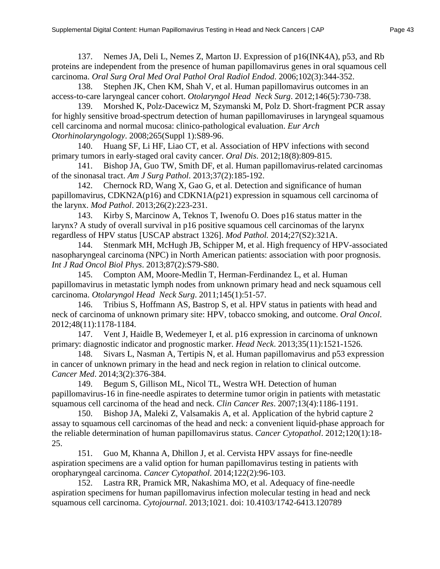137. Nemes JA, Deli L, Nemes Z, Marton IJ. Expression of p16(INK4A), p53, and Rb proteins are independent from the presence of human papillomavirus genes in oral squamous cell carcinoma. *Oral Surg Oral Med Oral Pathol Oral Radiol Endod*. 2006;102(3):344-352.

138. Stephen JK, Chen KM, Shah V, et al. Human papillomavirus outcomes in an access-to-care laryngeal cancer cohort. *Otolaryngol Head Neck Surg*. 2012;146(5):730-738.

139. Morshed K, Polz-Dacewicz M, Szymanski M, Polz D. Short-fragment PCR assay for highly sensitive broad-spectrum detection of human papillomaviruses in laryngeal squamous cell carcinoma and normal mucosa: clinico-pathological evaluation. *Eur Arch Otorhinolaryngology*. 2008;265(Suppl 1):S89-96.

140. Huang SF, Li HF, Liao CT, et al. Association of HPV infections with second primary tumors in early-staged oral cavity cancer. *Oral Dis*. 2012;18(8):809-815.

141. Bishop JA, Guo TW, Smith DF, et al. Human papillomavirus-related carcinomas of the sinonasal tract. *Am J Surg Pathol*. 2013;37(2):185-192.

142. Chernock RD, Wang X, Gao G, et al. Detection and significance of human papillomavirus, CDKN2A(p16) and CDKN1A(p21) expression in squamous cell carcinoma of the larynx. *Mod Pathol*. 2013;26(2):223-231.

143. Kirby S, Marcinow A, Teknos T, Iwenofu O. Does p16 status matter in the larynx? A study of overall survival in p16 positive squamous cell carcinomas of the larynx regardless of HPV status [USCAP abstract 1326]. *Mod Pathol.* 2014;27(S2):321A.

144. Stenmark MH, McHugh JB, Schipper M, et al. High frequency of HPV-associated nasopharyngeal carcinoma (NPC) in North American patients: association with poor prognosis. *Int J Rad Oncol Biol Phys*. 2013;87(2):S79-S80.

145. Compton AM, Moore-Medlin T, Herman-Ferdinandez L, et al. Human papillomavirus in metastatic lymph nodes from unknown primary head and neck squamous cell carcinoma. *Otolaryngol Head Neck Surg*. 2011;145(1):51-57.

146. Tribius S, Hoffmann AS, Bastrop S, et al. HPV status in patients with head and neck of carcinoma of unknown primary site: HPV, tobacco smoking, and outcome. *Oral Oncol*. 2012;48(11):1178-1184.

147. Vent J, Haidle B, Wedemeyer I, et al. p16 expression in carcinoma of unknown primary: diagnostic indicator and prognostic marker. *Head Neck*. 2013;35(11):1521-1526.

148. Sivars L, Nasman A, Tertipis N, et al. Human papillomavirus and p53 expression in cancer of unknown primary in the head and neck region in relation to clinical outcome. *Cancer Med*. 2014;3(2):376-384.

149. Begum S, Gillison ML, Nicol TL, Westra WH. Detection of human papillomavirus-16 in fine-needle aspirates to determine tumor origin in patients with metastatic squamous cell carcinoma of the head and neck. *Clin Cancer Res*. 2007;13(4):1186-1191.

150. Bishop JA, Maleki Z, Valsamakis A, et al. Application of the hybrid capture 2 assay to squamous cell carcinomas of the head and neck: a convenient liquid-phase approach for the reliable determination of human papillomavirus status. *Cancer Cytopathol*. 2012;120(1):18- 25.

151. Guo M, Khanna A, Dhillon J, et al. Cervista HPV assays for fine-needle aspiration specimens are a valid option for human papillomavirus testing in patients with oropharyngeal carcinoma. *Cancer Cytopathol*. 2014;122(2):96-103.

152. Lastra RR, Pramick MR, Nakashima MO, et al. Adequacy of fine-needle aspiration specimens for human papillomavirus infection molecular testing in head and neck squamous cell carcinoma. *Cytojournal*. 2013;1021. doi: 10.4103/1742-6413.120789